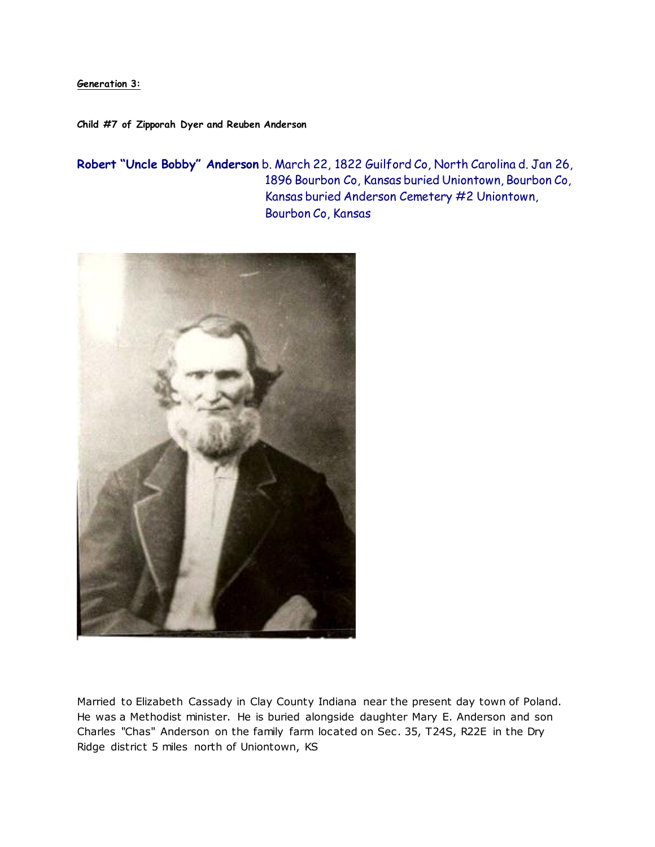**Generation 3:**

**Child #7 of Zipporah Dyer and Reuben Anderson** 

**Robert "Uncle Bobby" Anderson** b. March 22, 1822 Guilford Co, North Carolina d. Jan 26, 1896 Bourbon Co, Kansas buried Uniontown, Bourbon Co, Kansas buried Anderson Cemetery #2 Uniontown, Bourbon Co, Kansas



Married to Elizabeth Cassady in Clay County Indiana near the present day town of Poland. He was a Methodist minister. He is buried alongside daughter Mary E. Anderson and son Charles "Chas" Anderson on the family farm located on Sec . 35, T24S, R22E in the Dry Ridge district 5 miles north of Uniontown, KS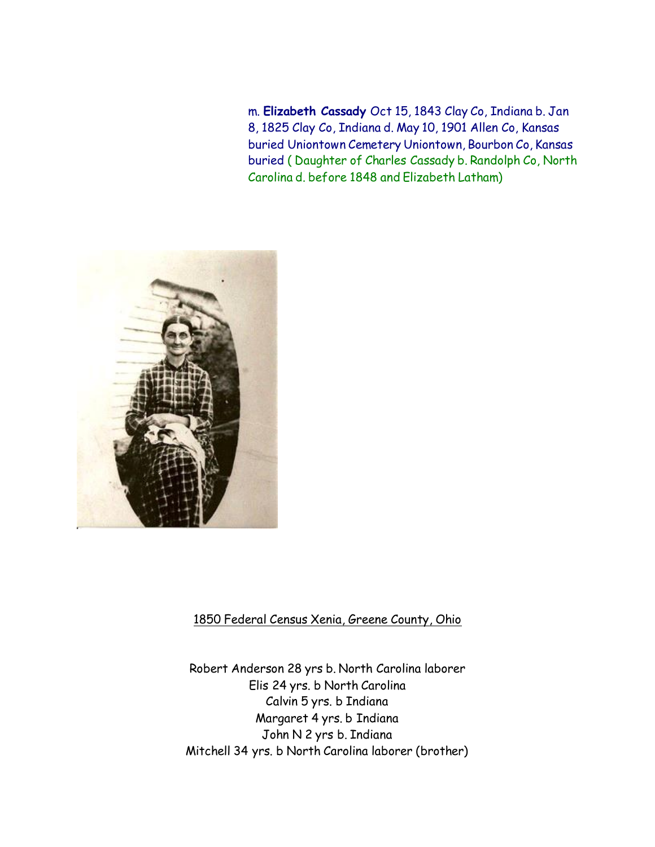m. **Elizabeth Cassady** Oct 15, 1843 Clay Co, Indiana b. Jan 8, 1825 Clay Co, Indiana d. May 10, 1901 Allen Co, Kansas buried Uniontown Cemetery Uniontown, Bourbon Co, Kansas buried ( Daughter of Charles Cassady b. Randolph Co, North Carolina d. before 1848 and Elizabeth Latham)



# 1850 Federal Census Xenia, Greene County, Ohio

Robert Anderson 28 yrs b. North Carolina laborer Elis 24 yrs. b North Carolina Calvin 5 yrs. b Indiana Margaret 4 yrs. b Indiana John N 2 yrs b. Indiana Mitchell 34 yrs. b North Carolina laborer (brother)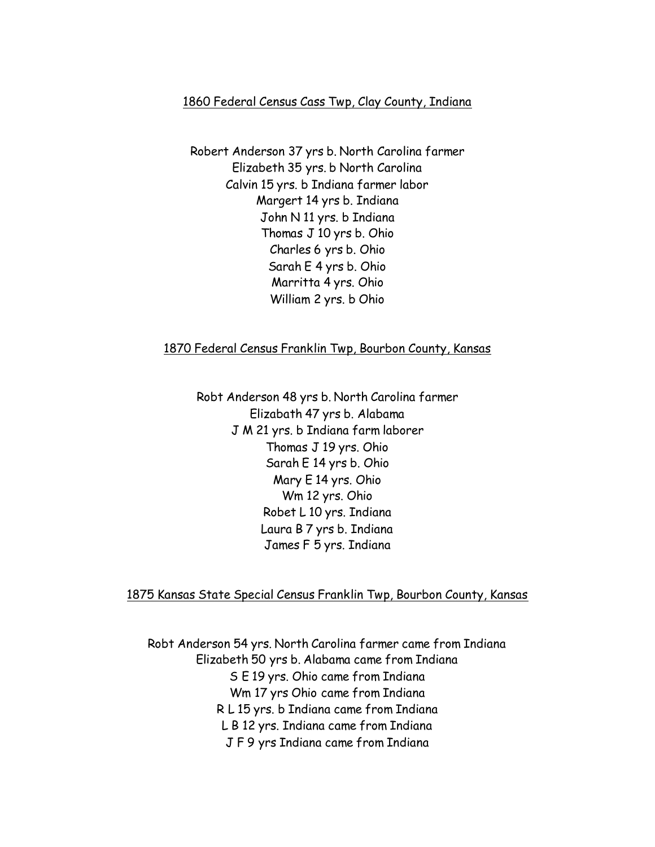### 1860 Federal Census Cass Twp, Clay County, Indiana

Robert Anderson 37 yrs b. North Carolina farmer Elizabeth 35 yrs. b North Carolina Calvin 15 yrs. b Indiana farmer labor Margert 14 yrs b. Indiana John N 11 yrs. b Indiana Thomas J 10 yrs b. Ohio Charles 6 yrs b. Ohio Sarah E 4 yrs b. Ohio Marritta 4 yrs. Ohio William 2 yrs. b Ohio

### 1870 Federal Census Franklin Twp, Bourbon County, Kansas

Robt Anderson 48 yrs b. North Carolina farmer Elizabath 47 yrs b. Alabama J M 21 yrs. b Indiana farm laborer Thomas J 19 yrs. Ohio Sarah E 14 yrs b. Ohio Mary E 14 yrs. Ohio Wm 12 yrs. Ohio Robet L 10 yrs. Indiana Laura B 7 yrs b. Indiana James F 5 yrs. Indiana

### 1875 Kansas State Special Census Franklin Twp, Bourbon County, Kansas

Robt Anderson 54 yrs. North Carolina farmer came from Indiana Elizabeth 50 yrs b. Alabama came from Indiana S E 19 yrs. Ohio came from Indiana Wm 17 yrs Ohio came from Indiana R L 15 yrs. b Indiana came from Indiana L B 12 yrs. Indiana came from Indiana J F 9 yrs Indiana came from Indiana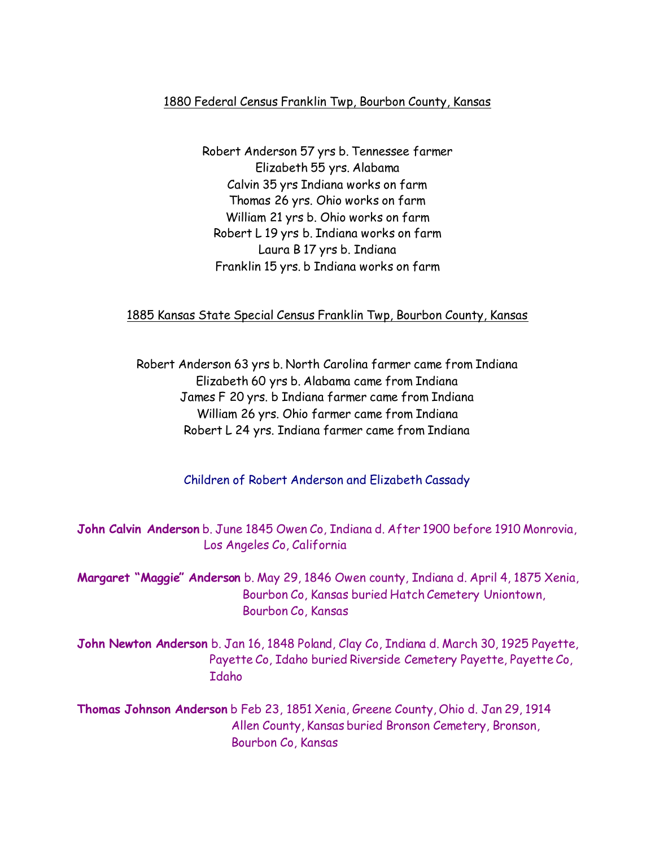## 1880 Federal Census Franklin Twp, Bourbon County, Kansas

Robert Anderson 57 yrs b. Tennessee farmer Elizabeth 55 yrs. Alabama Calvin 35 yrs Indiana works on farm Thomas 26 yrs. Ohio works on farm William 21 yrs b. Ohio works on farm Robert L 19 yrs b. Indiana works on farm Laura B 17 yrs b. Indiana Franklin 15 yrs. b Indiana works on farm

## 1885 Kansas State Special Census Franklin Twp, Bourbon County, Kansas

Robert Anderson 63 yrs b. North Carolina farmer came from Indiana Elizabeth 60 yrs b. Alabama came from Indiana James F 20 yrs. b Indiana farmer came from Indiana William 26 yrs. Ohio farmer came from Indiana Robert L 24 yrs. Indiana farmer came from Indiana

Children of Robert Anderson and Elizabeth Cassady

**John Calvin Anderson** b. June 1845 Owen Co, Indiana d. After 1900 before 1910 Monrovia, Los Angeles Co, California

**Margaret "Maggie" Anderson** b. May 29, 1846 Owen county, Indiana d. April 4, 1875 Xenia, Bourbon Co, Kansas buried Hatch Cemetery Uniontown, Bourbon Co, Kansas

**John Newton Anderson** b. Jan 16, 1848 Poland, Clay Co, Indiana d. March 30, 1925 Payette, Payette Co, Idaho buried Riverside Cemetery Payette, Payette Co, Idaho

**Thomas Johnson Anderson** b Feb 23, 1851 Xenia, Greene County, Ohio d. Jan 29, 1914 Allen County, Kansas buried Bronson Cemetery, Bronson, Bourbon Co, Kansas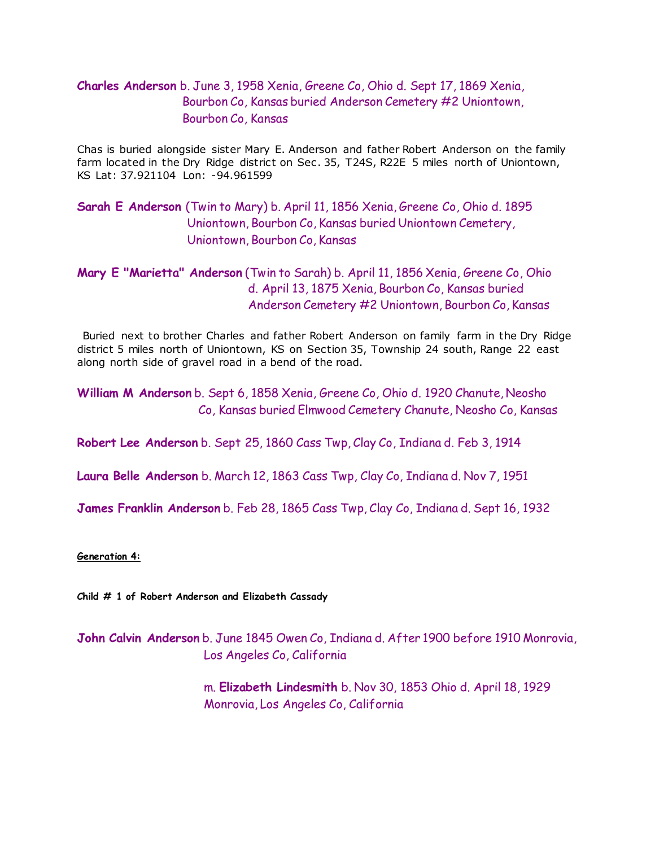# **Charles Anderson** b. June 3, 1958 Xenia, Greene Co, Ohio d. Sept 17, 1869 Xenia, Bourbon Co, Kansas buried Anderson Cemetery #2 Uniontown, Bourbon Co, Kansas

Chas is buried alongside sister Mary E. Anderson and father Robert Anderson on the family farm located in the Dry Ridge district on Sec . 35, T24S, R22E 5 miles north of Uniontown, KS Lat: 37.921104 Lon: -94.961599

# **Sarah E Anderson** (Twin to Mary) b. April 11, 1856 Xenia, Greene Co, Ohio d. 1895 Uniontown, Bourbon Co, Kansas buried Uniontown Cemetery, Uniontown, Bourbon Co, Kansas

# **Mary E "Marietta" Anderson** (Twin to Sarah) b. April 11, 1856 Xenia, Greene Co, Ohio d. April 13, 1875 Xenia, Bourbon Co, Kansas buried Anderson Cemetery #2 Uniontown, Bourbon Co, Kansas

Buried next to brother Charles and father Robert Anderson on family farm in the Dry Ridge district 5 miles north of Uniontown, KS on Section 35, Township 24 south, Range 22 east along north side of gravel road in a bend of the road.

**William M Anderson** b. Sept 6, 1858 Xenia, Greene Co, Ohio d. 1920 Chanute, Neosho Co, Kansas buried Elmwood Cemetery Chanute, Neosho Co, Kansas

**Robert Lee Anderson** b. Sept 25, 1860 Cass Twp, Clay Co, Indiana d. Feb 3, 1914

**Laura Belle Anderson** b. March 12, 1863 Cass Twp, Clay Co, Indiana d. Nov 7, 1951

**James Franklin Anderson** b. Feb 28, 1865 Cass Twp, Clay Co, Indiana d. Sept 16, 1932

#### **Generation 4:**

**Child # 1 of Robert Anderson and Elizabeth Cassady**

**John Calvin Anderson** b. June 1845 Owen Co, Indiana d. After 1900 before 1910 Monrovia, Los Angeles Co, California

> m. **Elizabeth Lindesmith** b. Nov 30, 1853 Ohio d. April 18, 1929 Monrovia, Los Angeles Co, California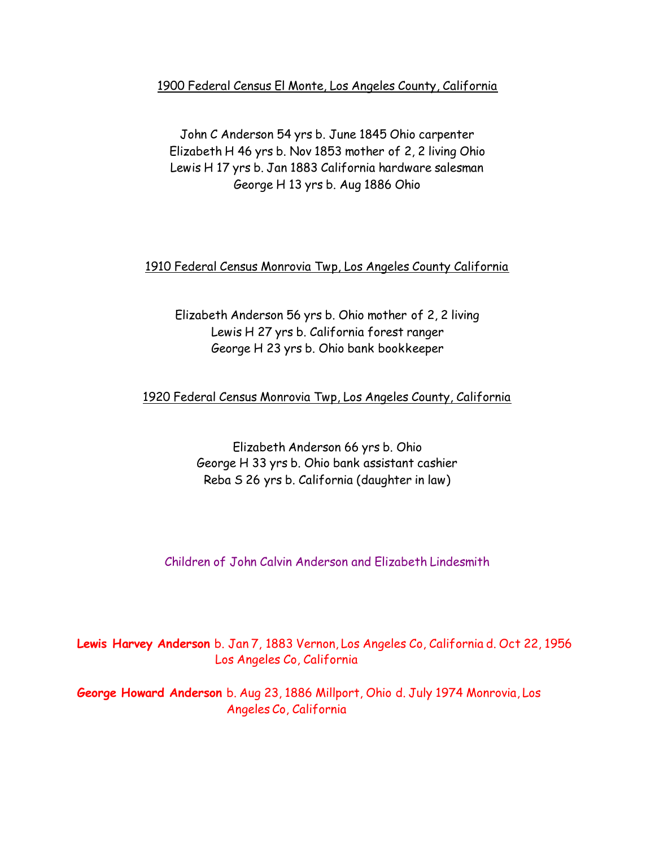1900 Federal Census El Monte, Los Angeles County, California

John C Anderson 54 yrs b. June 1845 Ohio carpenter Elizabeth H 46 yrs b. Nov 1853 mother of 2, 2 living Ohio Lewis H 17 yrs b. Jan 1883 California hardware salesman George H 13 yrs b. Aug 1886 Ohio

1910 Federal Census Monrovia Twp, Los Angeles County California

Elizabeth Anderson 56 yrs b. Ohio mother of 2, 2 living Lewis H 27 yrs b. California forest ranger George H 23 yrs b. Ohio bank bookkeeper

1920 Federal Census Monrovia Twp, Los Angeles County, California

Elizabeth Anderson 66 yrs b. Ohio George H 33 yrs b. Ohio bank assistant cashier Reba S 26 yrs b. California (daughter in law)

Children of John Calvin Anderson and Elizabeth Lindesmith

**Lewis Harvey Anderson** b. Jan 7, 1883 Vernon, Los Angeles Co, California d. Oct 22, 1956 Los Angeles Co, California

**George Howard Anderson** b. Aug 23, 1886 Millport, Ohio d. July 1974 Monrovia, Los Angeles Co, California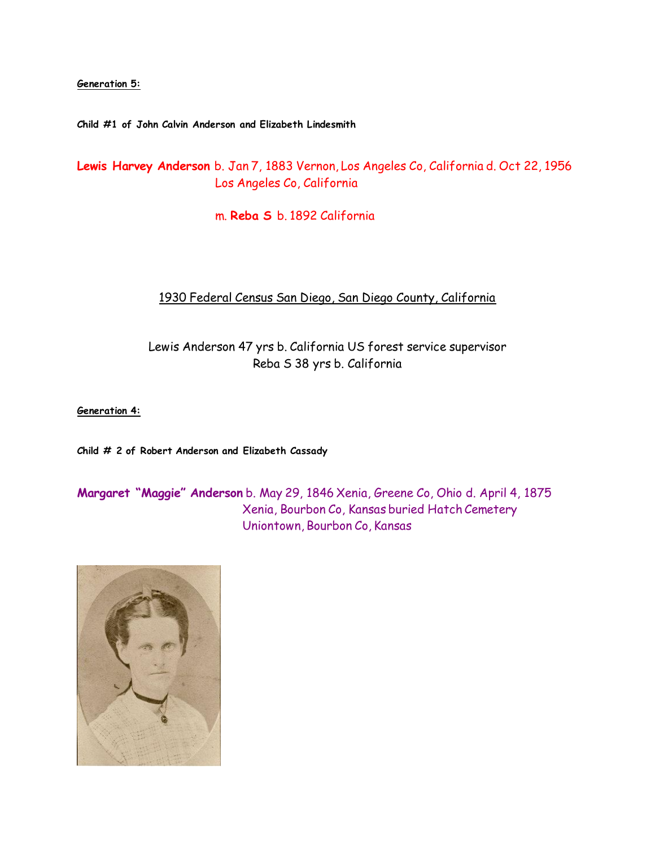**Generation 5:**

**Child #1 of John Calvin Anderson and Elizabeth Lindesmith**

**Lewis Harvey Anderson** b. Jan 7, 1883 Vernon, Los Angeles Co, California d. Oct 22, 1956 Los Angeles Co, California

m. **Reba S** b. 1892 California

# 1930 Federal Census San Diego, San Diego County, California

Lewis Anderson 47 yrs b. California US forest service supervisor Reba S 38 yrs b. California

**Generation 4:**

**Child # 2 of Robert Anderson and Elizabeth Cassady**

**Margaret "Maggie" Anderson** b. May 29, 1846 Xenia, Greene Co, Ohio d. April 4, 1875 Xenia, Bourbon Co, Kansas buried Hatch Cemetery Uniontown, Bourbon Co, Kansas

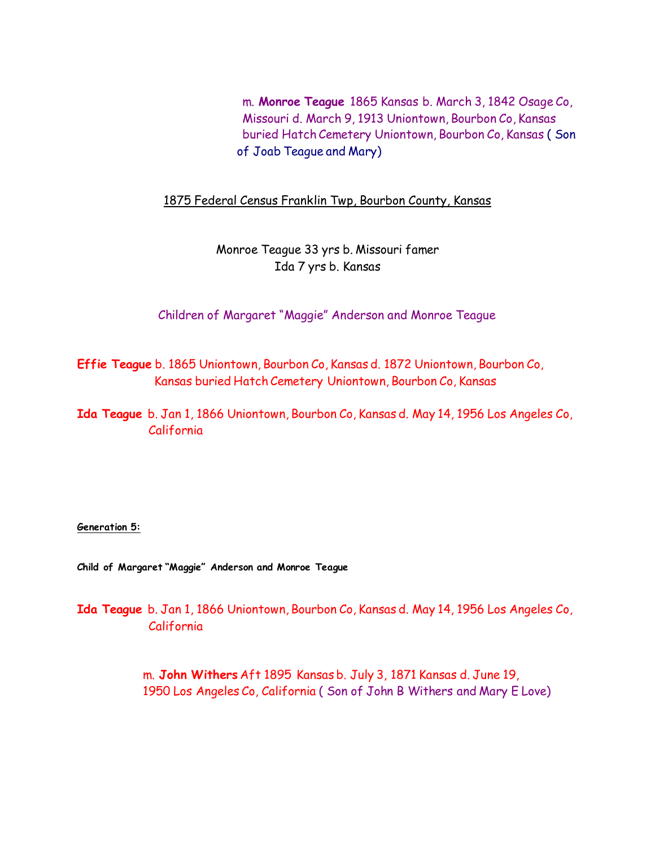m. **Monroe Teague** 1865 Kansas b. March 3, 1842 Osage Co, Missouri d. March 9, 1913 Uniontown, Bourbon Co, Kansas buried Hatch Cemetery Uniontown, Bourbon Co, Kansas ( Son of Joab Teague and Mary)

1875 Federal Census Franklin Twp, Bourbon County, Kansas

Monroe Teague 33 yrs b. Missouri famer Ida 7 yrs b. Kansas

Children of Margaret "Maggie" Anderson and Monroe Teague

**Effie Teague** b. 1865 Uniontown, Bourbon Co, Kansas d. 1872 Uniontown, Bourbon Co, Kansas buried Hatch Cemetery Uniontown, Bourbon Co, Kansas

**Ida Teague** b. Jan 1, 1866 Uniontown, Bourbon Co, Kansas d. May 14, 1956 Los Angeles Co, California

**Generation 5:**

**Child of Margaret "Maggie" Anderson and Monroe Teague**

**Ida Teague** b. Jan 1, 1866 Uniontown, Bourbon Co, Kansas d. May 14, 1956 Los Angeles Co, California

> m. **John Withers** Aft 1895 Kansas b. July 3, 1871 Kansas d. June 19, 1950 Los Angeles Co, California ( Son of John B Withers and Mary E Love)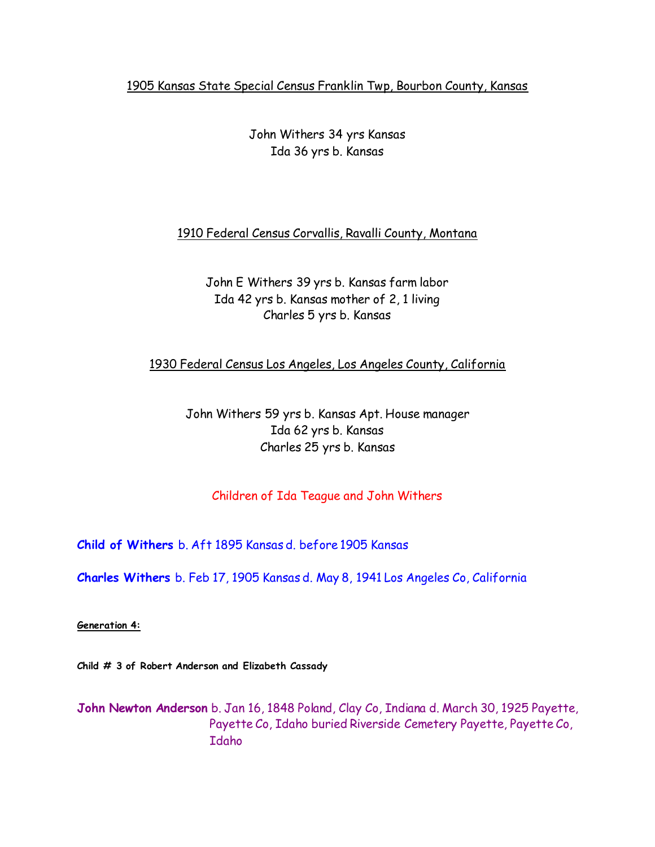# 1905 Kansas State Special Census Franklin Twp, Bourbon County, Kansas

# John Withers 34 yrs Kansas Ida 36 yrs b. Kansas

## 1910 Federal Census Corvallis, Ravalli County, Montana

# John E Withers 39 yrs b. Kansas farm labor Ida 42 yrs b. Kansas mother of 2, 1 living Charles 5 yrs b. Kansas

1930 Federal Census Los Angeles, Los Angeles County, California

John Withers 59 yrs b. Kansas Apt. House manager Ida 62 yrs b. Kansas Charles 25 yrs b. Kansas

# Children of Ida Teague and John Withers

**Child of Withers** b. Aft 1895 Kansas d. before 1905 Kansas

**Charles Withers** b. Feb 17, 1905 Kansas d. May 8, 1941 Los Angeles Co, California

**Generation 4:**

**Child # 3 of Robert Anderson and Elizabeth Cassady**

**John Newton Anderson** b. Jan 16, 1848 Poland, Clay Co, Indiana d. March 30, 1925 Payette, Payette Co, Idaho buried Riverside Cemetery Payette, Payette Co, Idaho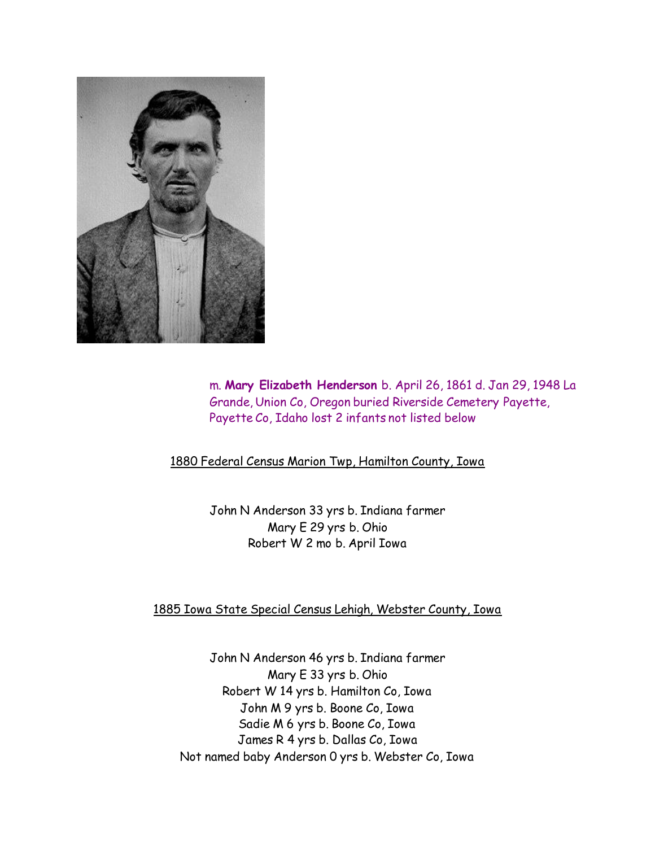

 m. **Mary Elizabeth Henderson** b. April 26, 1861 d. Jan 29, 1948 La Grande, Union Co, Oregon buried Riverside Cemetery Payette, Payette Co, Idaho lost 2 infants not listed below

1880 Federal Census Marion Twp, Hamilton County, Iowa

John N Anderson 33 yrs b. Indiana farmer Mary E 29 yrs b. Ohio Robert W 2 mo b. April Iowa

1885 Iowa State Special Census Lehigh, Webster County, Iowa

John N Anderson 46 yrs b. Indiana farmer Mary E 33 yrs b. Ohio Robert W 14 yrs b. Hamilton Co, Iowa John M 9 yrs b. Boone Co, Iowa Sadie M 6 yrs b. Boone Co, Iowa James R 4 yrs b. Dallas Co, Iowa Not named baby Anderson 0 yrs b. Webster Co, Iowa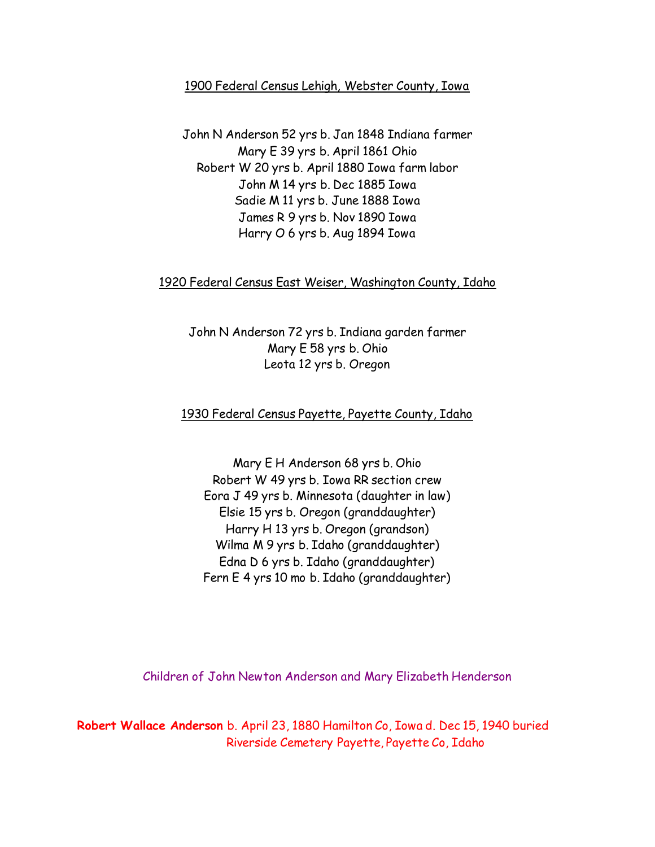## 1900 Federal Census Lehigh, Webster County, Iowa

John N Anderson 52 yrs b. Jan 1848 Indiana farmer Mary E 39 yrs b. April 1861 Ohio Robert W 20 yrs b. April 1880 Iowa farm labor John M 14 yrs b. Dec 1885 Iowa Sadie M 11 yrs b. June 1888 Iowa James R 9 yrs b. Nov 1890 Iowa Harry O 6 yrs b. Aug 1894 Iowa

### 1920 Federal Census East Weiser, Washington County, Idaho

John N Anderson 72 yrs b. Indiana garden farmer Mary E 58 yrs b. Ohio Leota 12 yrs b. Oregon

# 1930 Federal Census Payette, Payette County, Idaho

Mary E H Anderson 68 yrs b. Ohio Robert W 49 yrs b. Iowa RR section crew Eora J 49 yrs b. Minnesota (daughter in law) Elsie 15 yrs b. Oregon (granddaughter) Harry H 13 yrs b. Oregon (grandson) Wilma M 9 yrs b. Idaho (granddaughter) Edna D 6 yrs b. Idaho (granddaughter) Fern E 4 yrs 10 mo b. Idaho (granddaughter)

Children of John Newton Anderson and Mary Elizabeth Henderson

**Robert Wallace Anderson** b. April 23, 1880 Hamilton Co, Iowa d. Dec 15, 1940 buried Riverside Cemetery Payette, Payette Co, Idaho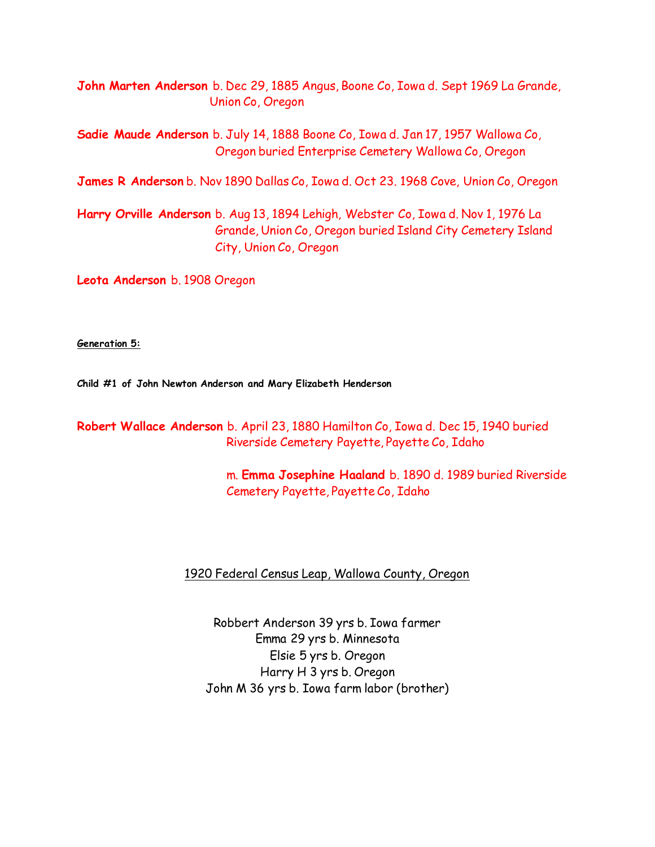**John Marten Anderson** b. Dec 29, 1885 Angus, Boone Co, Iowa d. Sept 1969 La Grande, Union Co, Oregon

**Sadie Maude Anderson** b. July 14, 1888 Boone Co, Iowa d. Jan 17, 1957 Wallowa Co, Oregon buried Enterprise Cemetery Wallowa Co, Oregon

**James R Anderson** b. Nov 1890 Dallas Co, Iowa d. Oct 23. 1968 Cove, Union Co, Oregon

**Harry Orville Anderson** b. Aug 13, 1894 Lehigh, Webster Co, Iowa d. Nov 1, 1976 La Grande, Union Co, Oregon buried Island City Cemetery Island City, Union Co, Oregon

**Leota Anderson** b. 1908 Oregon

**Generation 5:**

**Child #1 of John Newton Anderson and Mary Elizabeth Henderson**

**Robert Wallace Anderson** b. April 23, 1880 Hamilton Co, Iowa d. Dec 15, 1940 buried Riverside Cemetery Payette, Payette Co, Idaho

> m. **Emma Josephine Haaland** b. 1890 d. 1989 buried Riverside Cemetery Payette, Payette Co, Idaho

### 1920 Federal Census Leap, Wallowa County, Oregon

Robbert Anderson 39 yrs b. Iowa farmer Emma 29 yrs b. Minnesota Elsie 5 yrs b. Oregon Harry H 3 yrs b. Oregon John M 36 yrs b. Iowa farm labor (brother)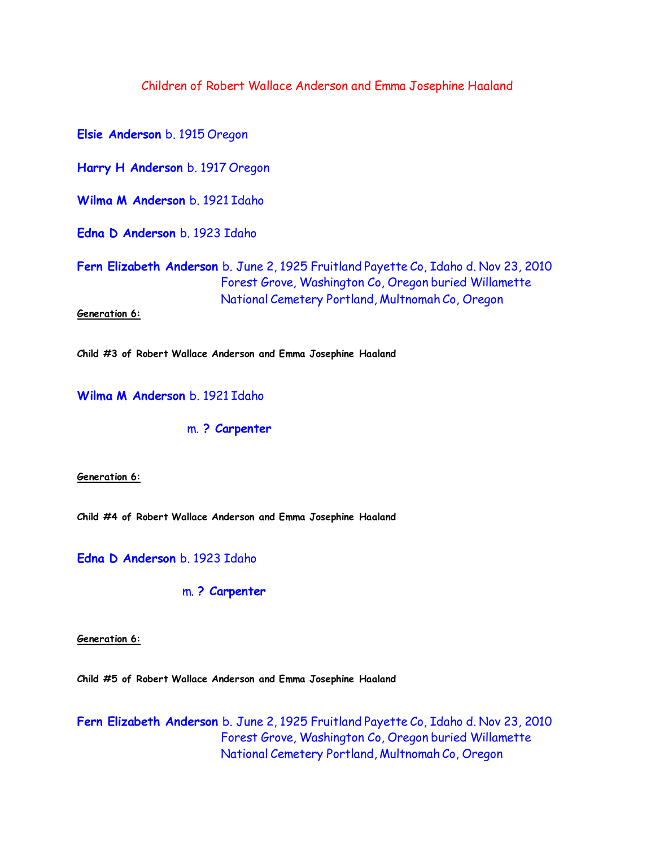### Children of Robert Wallace Anderson and Emma Josephine Haaland

**Elsie Anderson** b. 1915 Oregon **Harry H Anderson** b. 1917 Oregon **Wilma M Anderson** b. 1921 Idaho **Edna D Anderson** b. 1923 Idaho **Fern Elizabeth Anderson** b. June 2, 1925 Fruitland Payette Co, Idaho d. Nov 23, 2010 Forest Grove, Washington Co, Oregon buried Willamette National Cemetery Portland, Multnomah Co, Oregon **Generation 6:**

**Child #3 of Robert Wallace Anderson and Emma Josephine Haaland**

**Wilma M Anderson** b. 1921 Idaho

m. **? Carpenter**

**Generation 6:**

**Child #4 of Robert Wallace Anderson and Emma Josephine Haaland**

**Edna D Anderson** b. 1923 Idaho

m. **? Carpenter**

**Generation 6:**

**Child #5 of Robert Wallace Anderson and Emma Josephine Haaland**

**Fern Elizabeth Anderson** b. June 2, 1925 Fruitland Payette Co, Idaho d. Nov 23, 2010 Forest Grove, Washington Co, Oregon buried Willamette National Cemetery Portland, Multnomah Co, Oregon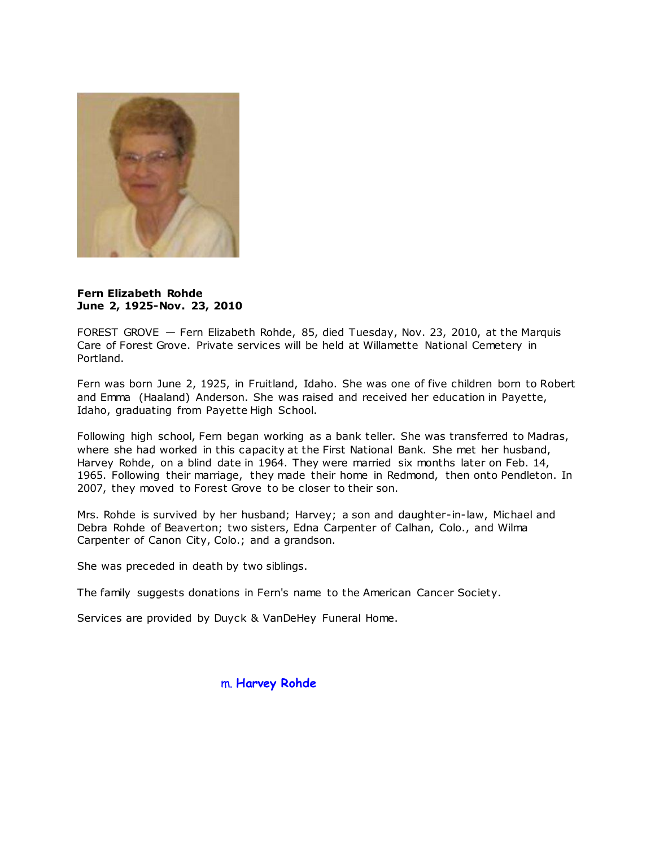

#### **Fern Elizabeth Rohde June 2, 1925-Nov. 23, 2010**

FOREST GROVE — Fern Elizabeth Rohde, 85, died Tuesday, Nov. 23, 2010, at the Marquis Care of Forest Grove. Private services will be held at Willamette National Cemetery in Portland.

Fern was born June 2, 1925, in Fruitland, Idaho. She was one of five children born to Robert and Emma (Haaland) Anderson. She was raised and received her education in Payette, Idaho, graduating from Payette High School.

Following high school, Fern began working as a bank teller. She was transferred to Madras, where she had worked in this capacity at the First National Bank. She met her husband, Harvey Rohde, on a blind date in 1964. They were married six months later on Feb. 14, 1965. Following their marriage, they made their home in Redmond, then onto Pendleton. In 2007, they moved to Forest Grove to be closer to their son.

Mrs. Rohde is survived by her husband; Harvey; a son and daughter-in-law, Michael and Debra Rohde of Beaverton; two sisters, Edna Carpenter of Calhan, Colo., and Wilma Carpenter of Canon City, Colo.; and a grandson.

She was preceded in death by two siblings.

The family suggests donations in Fern's name to the American Cancer Society.

Services are provided by Duyck & VanDeHey Funeral Home.

m. **Harvey Rohde**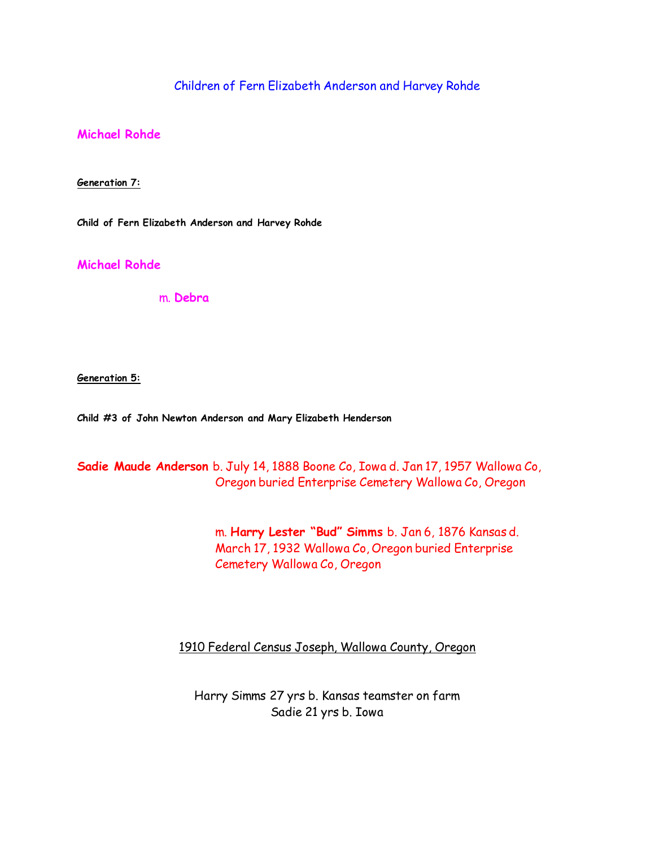Children of Fern Elizabeth Anderson and Harvey Rohde

**Michael Rohde**

**Generation 7:**

**Child of Fern Elizabeth Anderson and Harvey Rohde**

**Michael Rohde**

m. **Debra**

**Generation 5:**

**Child #3 of John Newton Anderson and Mary Elizabeth Henderson**

**Sadie Maude Anderson** b. July 14, 1888 Boone Co, Iowa d. Jan 17, 1957 Wallowa Co, Oregon buried Enterprise Cemetery Wallowa Co, Oregon

> m. **Harry Lester "Bud" Simms** b. Jan 6, 1876 Kansas d. March 17, 1932 Wallowa Co, Oregon buried Enterprise Cemetery Wallowa Co, Oregon

1910 Federal Census Joseph, Wallowa County, Oregon

Harry Simms 27 yrs b. Kansas teamster on farm Sadie 21 yrs b. Iowa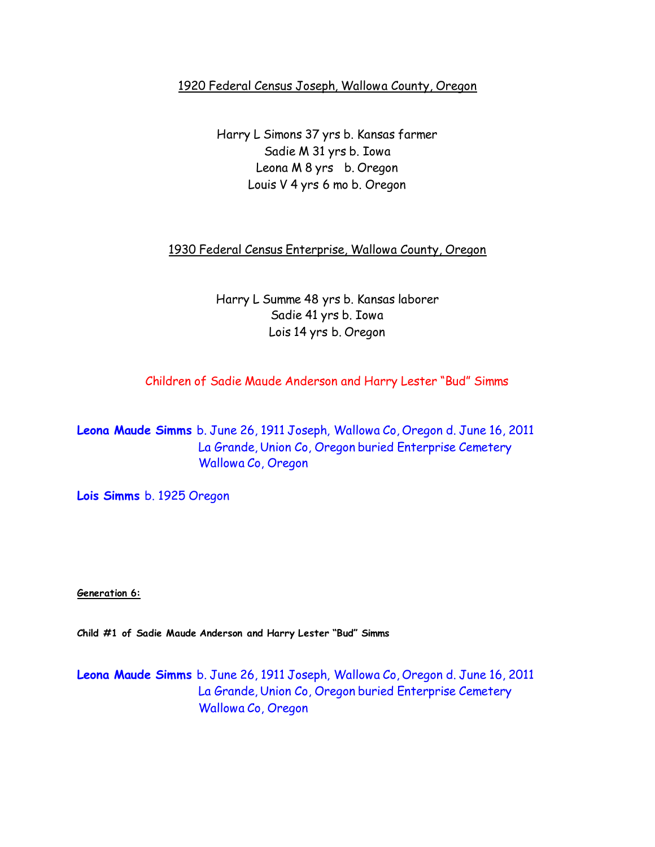# 1920 Federal Census Joseph, Wallowa County, Oregon

Harry L Simons 37 yrs b. Kansas farmer Sadie M 31 yrs b. Iowa Leona M 8 yrs b. Oregon Louis V 4 yrs 6 mo b. Oregon

1930 Federal Census Enterprise, Wallowa County, Oregon

Harry L Summe 48 yrs b. Kansas laborer Sadie 41 yrs b. Iowa Lois 14 yrs b. Oregon

Children of Sadie Maude Anderson and Harry Lester "Bud" Simms

**Leona Maude Simms** b. June 26, 1911 Joseph, Wallowa Co, Oregon d. June 16, 2011 La Grande, Union Co, Oregon buried Enterprise Cemetery Wallowa Co, Oregon

**Lois Simms** b. 1925 Oregon

**Generation 6:**

**Child #1 of Sadie Maude Anderson and Harry Lester "Bud" Simms**

**Leona Maude Simms** b. June 26, 1911 Joseph, Wallowa Co, Oregon d. June 16, 2011 La Grande, Union Co, Oregon buried Enterprise Cemetery Wallowa Co, Oregon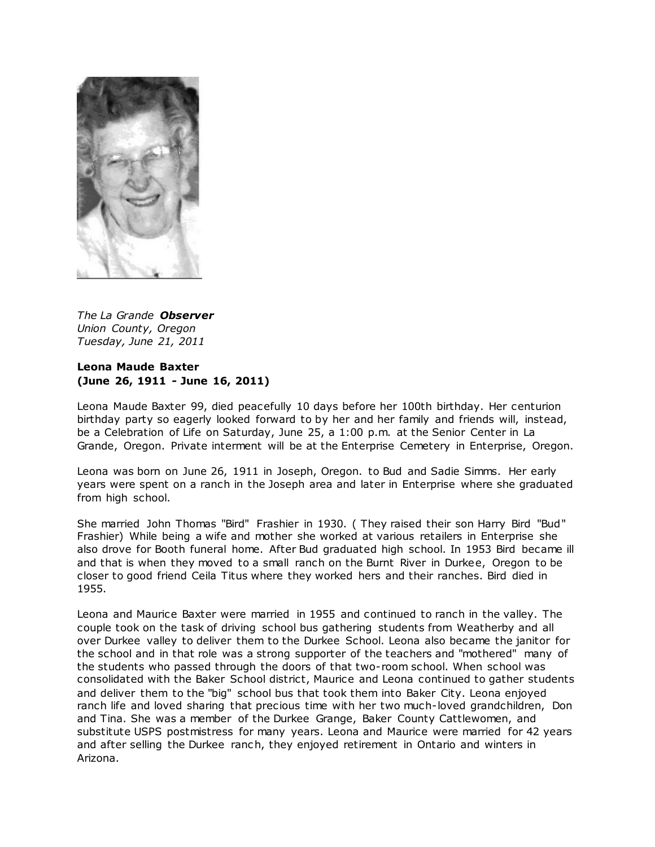

*The La Grande Observer Union County, Oregon Tuesday, June 21, 2011*

### **Leona Maude Baxter (June 26, 1911 - June 16, 2011)**

Leona Maude Baxter 99, died peacefully 10 days before her 100th birthday. Her centurion birthday party so eagerly looked forward to by her and her family and friends will, instead, be a Celebration of Life on Saturday, June 25, a 1:00 p.m. at the Senior Center in La Grande, Oregon. Private interment will be at the Enterprise Cemetery in Enterprise, Oregon.

Leona was born on June 26, 1911 in Joseph, Oregon. to Bud and Sadie Simms. Her early years were spent on a ranch in the Joseph area and later in Enterprise where she graduated from high school.

She married John Thomas "Bird" Frashier in 1930. ( They raised their son Harry Bird "Bud" Frashier) While being a wife and mother she worked at various retailers in Enterprise she also drove for Booth funeral home. After Bud graduated high school. In 1953 Bird became ill and that is when they moved to a small ranch on the Burnt River in Durkee, Oregon to be closer to good friend Ceila Titus where they worked hers and their ranches. Bird died in 1955.

Leona and Maurice Baxter were married in 1955 and continued to ranch in the valley. The couple took on the task of driving school bus gathering students from Weatherby and all over Durkee valley to deliver them to the Durkee School. Leona also became the janitor for the school and in that role was a strong supporter of the teachers and "mothered" many of the students who passed through the doors of that two-room school. When school was consolidated with the Baker School district, Maurice and Leona continued to gather students and deliver them to the "big" school bus that took them into Baker City. Leona enjoyed ranch life and loved sharing that precious time with her two much-loved grandchildren, Don and Tina. She was a member of the Durkee Grange, Baker County Cattlewomen, and substitute USPS postmistress for many years. Leona and Maurice were married for 42 years and after selling the Durkee ranch, they enjoyed retirement in Ontario and winters in Arizona.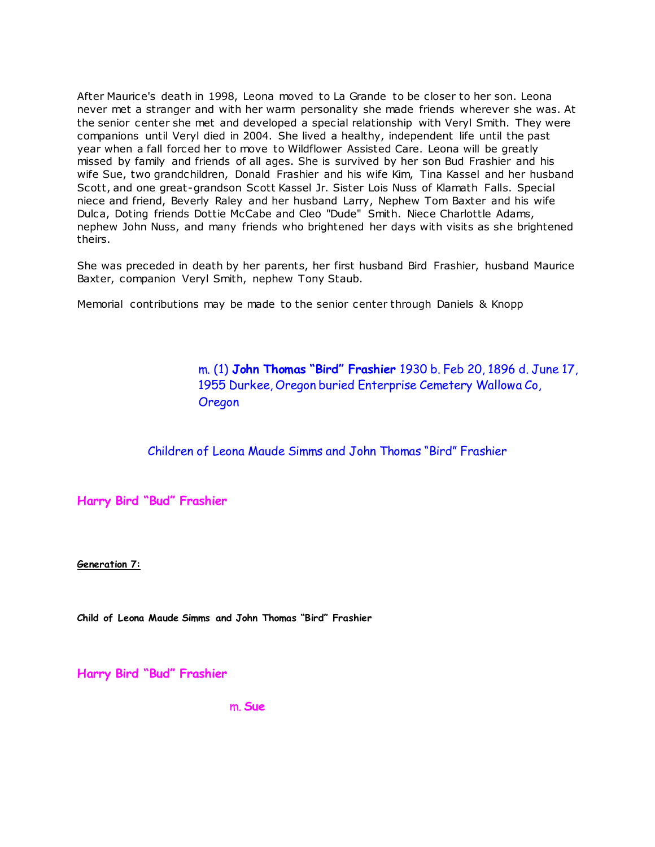After Maurice's death in 1998, Leona moved to La Grande to be closer to her son. Leona never met a stranger and with her warm personality she made friends wherever she was. At the senior center she met and developed a special relationship with Veryl Smith. They were companions until Veryl died in 2004. She lived a healthy, independent life until the past year when a fall forced her to move to Wildflower Assisted Care. Leona will be greatly missed by family and friends of all ages. She is survived by her son Bud Frashier and his wife Sue, two grandchildren, Donald Frashier and his wife Kim, Tina Kassel and her husband Scott, and one great-grandson Scott Kassel Jr. Sister Lois Nuss of Klamath Falls. Special niece and friend, Beverly Raley and her husband Larry, Nephew Tom Baxter and his wife Dulca, Doting friends Dottie McCabe and Cleo "Dude" Smith. Niece Charlottle Adams, nephew John Nuss, and many friends who brightened her days with visits as she brightened theirs.

She was preceded in death by her parents, her first husband Bird Frashier, husband Maurice Baxter, companion Veryl Smith, nephew Tony Staub.

Memorial contributions may be made to the senior center through Daniels & Knopp

 m. (1) **John Thomas "Bird" Frashier** 1930 b. Feb 20, 1896 d. June 17, 1955 Durkee, Oregon buried Enterprise Cemetery Wallowa Co, Oregon

Children of Leona Maude Simms and John Thomas "Bird" Frashier

**Harry Bird "Bud" Frashier**

**Generation 7:**

**Child of Leona Maude Simms and John Thomas "Bird" Frashier**

**Harry Bird "Bud" Frashier**

m. **Sue**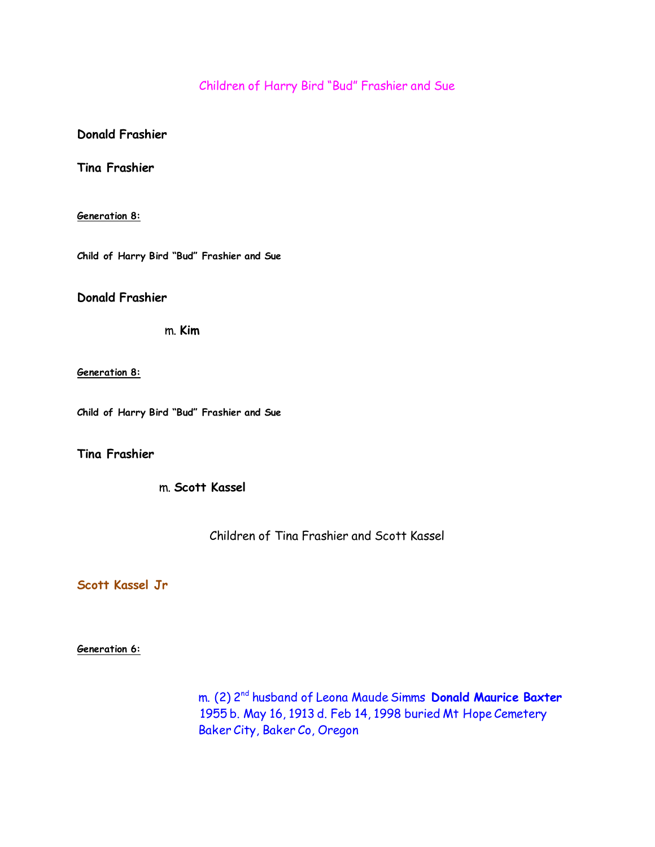# Children of Harry Bird "Bud" Frashier and Sue

### **Donald Frashier**

**Tina Frashier**

#### **Generation 8:**

**Child of Harry Bird "Bud" Frashier and Sue**

**Donald Frashier**

m. **Kim**

**Generation 8:**

**Child of Harry Bird "Bud" Frashier and Sue**

**Tina Frashier**

m. **Scott Kassel**

Children of Tina Frashier and Scott Kassel

**Scott Kassel Jr**

**Generation 6:**

 m. (2) 2nd husband of Leona Maude Simms **Donald Maurice Baxter** 1955 b. May 16, 1913 d. Feb 14, 1998 buried Mt Hope Cemetery Baker City, Baker Co, Oregon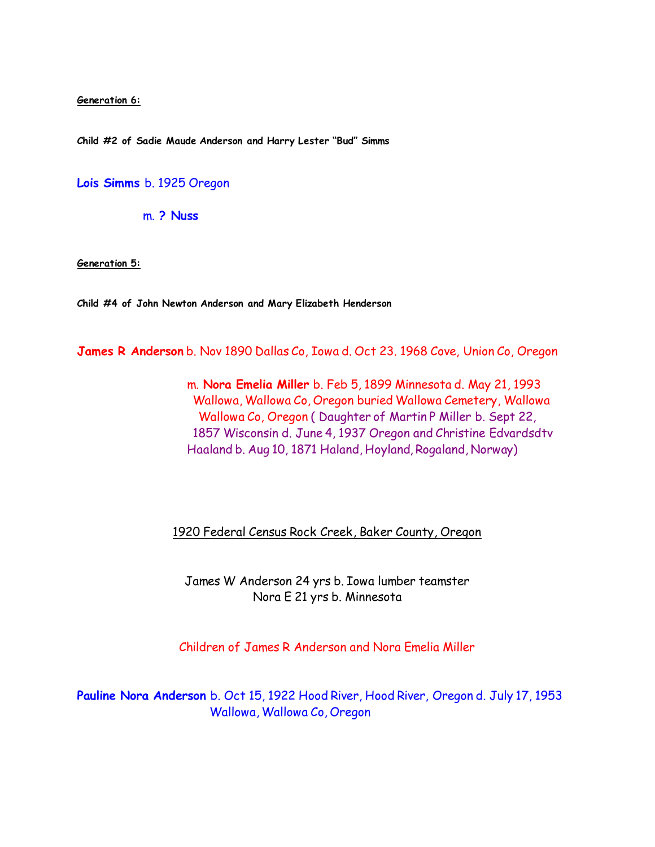**Generation 6:**

**Child #2 of Sadie Maude Anderson and Harry Lester "Bud" Simms**

**Lois Simms** b. 1925 Oregon

m. **? Nuss**

**Generation 5:**

**Child #4 of John Newton Anderson and Mary Elizabeth Henderson**

**James R Anderson** b. Nov 1890 Dallas Co, Iowa d. Oct 23. 1968 Cove, Union Co, Oregon

 m. **Nora Emelia Miller** b. Feb 5, 1899 Minnesota d. May 21, 1993 Wallowa, Wallowa Co, Oregon buried Wallowa Cemetery, Wallowa Wallowa Co, Oregon ( Daughter of Martin P Miller b. Sept 22, 1857 Wisconsin d. June 4, 1937 Oregon and Christine Edvardsdtv Haaland b. Aug 10, 1871 Haland, Hoyland, Rogaland, Norway)

1920 Federal Census Rock Creek, Baker County, Oregon

James W Anderson 24 yrs b. Iowa lumber teamster Nora E 21 yrs b. Minnesota

Children of James R Anderson and Nora Emelia Miller

**Pauline Nora Anderson** b. Oct 15, 1922 Hood River, Hood River, Oregon d. July 17, 1953 Wallowa, Wallowa Co, Oregon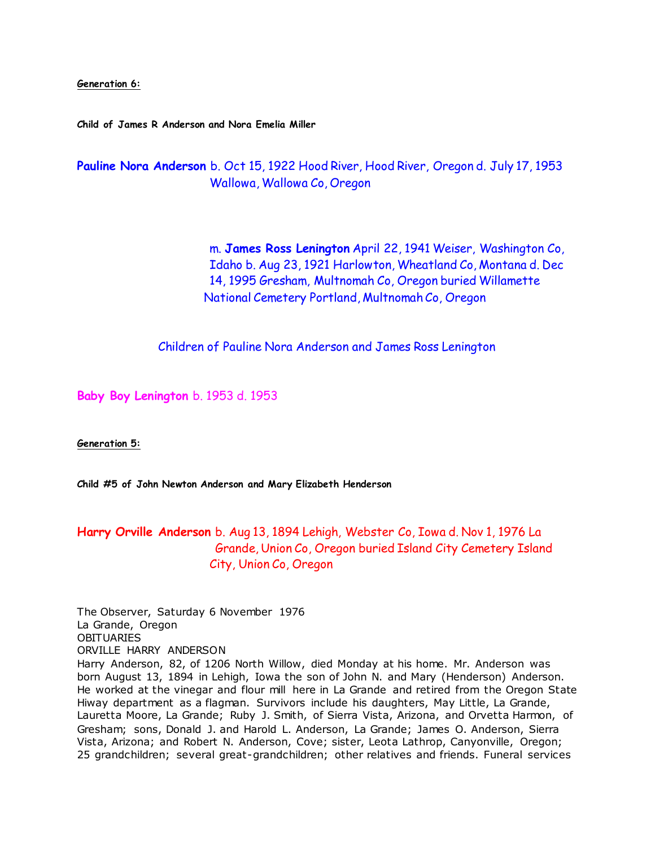**Generation 6:**

**Child of James R Anderson and Nora Emelia Miller**

**Pauline Nora Anderson** b. Oct 15, 1922 Hood River, Hood River, Oregon d. July 17, 1953 Wallowa, Wallowa Co, Oregon

> m. **James Ross Lenington** April 22, 1941 Weiser, Washington Co, Idaho b. Aug 23, 1921 Harlowton, Wheatland Co, Montana d. Dec 14, 1995 Gresham, Multnomah Co, Oregon buried Willamette National Cemetery Portland, Multnomah Co, Oregon

Children of Pauline Nora Anderson and James Ross Lenington

**Baby Boy Lenington** b. 1953 d. 1953

**Generation 5:**

**Child #5 of John Newton Anderson and Mary Elizabeth Henderson**

# **Harry Orville Anderson** b. Aug 13, 1894 Lehigh, Webster Co, Iowa d. Nov 1, 1976 La Grande, Union Co, Oregon buried Island City Cemetery Island City, Union Co, Oregon

The Observer, Saturday 6 November 1976 La Grande, Oregon **OBITUARIES** ORVILLE HARRY ANDERSON Harry Anderson, 82, of 1206 North Willow, died Monday at his home. Mr. Anderson was born August 13, 1894 in Lehigh, Iowa the son of John N. and Mary (Henderson) Anderson. He worked at the vinegar and flour mill here in La Grande and retired from the Oregon State Hiway department as a flagman. Survivors include his daughters, May Little, La Grande, Lauretta Moore, La Grande; Ruby J. Smith, of Sierra Vista, Arizona, and Orvetta Harmon, of Gresham; sons, Donald J. and Harold L. Anderson, La Grande; James O. Anderson, Sierra Vista, Arizona; and Robert N. Anderson, Cove; sister, Leota Lathrop, Canyonville, Oregon; 25 grandchildren; several great-grandchildren; other relatives and friends. Funeral services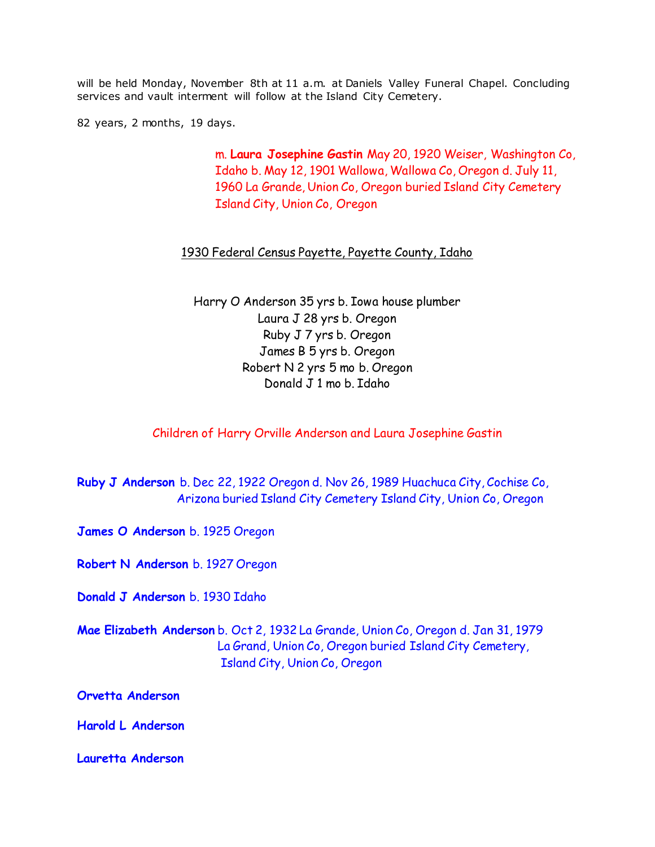will be held Monday, November 8th at 11 a.m. at Daniels Valley Funeral Chapel. Concluding services and vault interment will follow at the Island City Cemetery.

82 years, 2 months, 19 days.

 m. **Laura Josephine Gastin** May 20, 1920 Weiser, Washington Co, Idaho b. May 12, 1901 Wallowa, Wallowa Co, Oregon d. July 11, 1960 La Grande, Union Co, Oregon buried Island City Cemetery Island City, Union Co, Oregon

### 1930 Federal Census Payette, Payette County, Idaho

Harry O Anderson 35 yrs b. Iowa house plumber Laura J 28 yrs b. Oregon Ruby J 7 yrs b. Oregon James B 5 yrs b. Oregon Robert N 2 yrs 5 mo b. Oregon Donald J 1 mo b. Idaho

Children of Harry Orville Anderson and Laura Josephine Gastin

**Ruby J Anderson** b. Dec 22, 1922 Oregon d. Nov 26, 1989 Huachuca City, Cochise Co, Arizona buried Island City Cemetery Island City, Union Co, Oregon

**James O Anderson** b. 1925 Oregon

**Robert N Anderson** b. 1927 Oregon

**Donald J Anderson** b. 1930 Idaho

**Mae Elizabeth Anderson** b. Oct 2, 1932 La Grande, Union Co, Oregon d. Jan 31, 1979 La Grand, Union Co, Oregon buried Island City Cemetery, Island City, Union Co, Oregon

**Orvetta Anderson** 

**Harold L Anderson**

**Lauretta Anderson**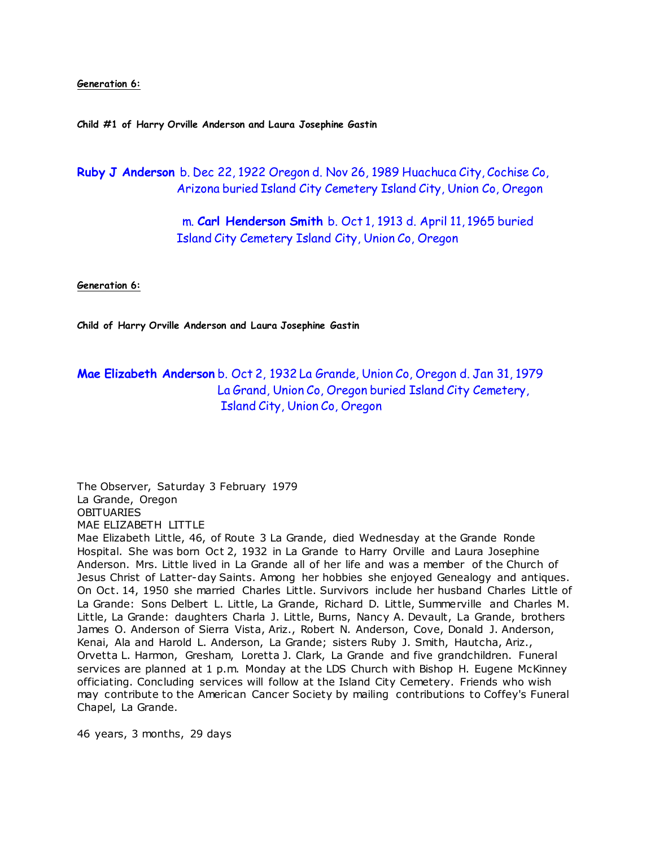#### **Generation 6:**

**Child #1 of Harry Orville Anderson and Laura Josephine Gastin**

**Ruby J Anderson** b. Dec 22, 1922 Oregon d. Nov 26, 1989 Huachuca City, Cochise Co, Arizona buried Island City Cemetery Island City, Union Co, Oregon

> m. **Carl Henderson Smith** b. Oct 1, 1913 d. April 11, 1965 buried Island City Cemetery Island City, Union Co, Oregon

**Generation 6:**

**Child of Harry Orville Anderson and Laura Josephine Gastin**

# **Mae Elizabeth Anderson** b. Oct 2, 1932 La Grande, Union Co, Oregon d. Jan 31, 1979 La Grand, Union Co, Oregon buried Island City Cemetery, Island City, Union Co, Oregon

The Observer, Saturday 3 February 1979 La Grande, Oregon **OBITUARIES** MAE ELIZABETH LITTLE Mae Elizabeth Little, 46, of Route 3 La Grande, died Wednesday at the Grande Ronde Hospital. She was born Oct 2, 1932 in La Grande to Harry Orville and Laura Josephine Anderson. Mrs. Little lived in La Grande all of her life and was a member of the Church of Jesus Christ of Latter-day Saints. Among her hobbies she enjoyed Genealogy and antiques. On Oct. 14, 1950 she married Charles Little. Survivors include her husband Charles Little of La Grande: Sons Delbert L. Little, La Grande, Richard D. Little, Summerville and Charles M. Little, La Grande: daughters Charla J. Little, Burns, Nancy A. Devault, La Grande, brothers James O. Anderson of Sierra Vista, Ariz., Robert N. Anderson, Cove, Donald J. Anderson, Kenai, Ala and Harold L. Anderson, La Grande; sisters Ruby J. Smith, Hautcha, Ariz., Orvetta L. Harmon, Gresham, Loretta J. Clark, La Grande and five grandchildren. Funeral services are planned at 1 p.m. Monday at the LDS Church with Bishop H. Eugene McKinney officiating. Concluding services will follow at the Island City Cemetery. Friends who wish may contribute to the American Cancer Society by mailing contributions to Coffey's Funeral Chapel, La Grande.

46 years, 3 months, 29 days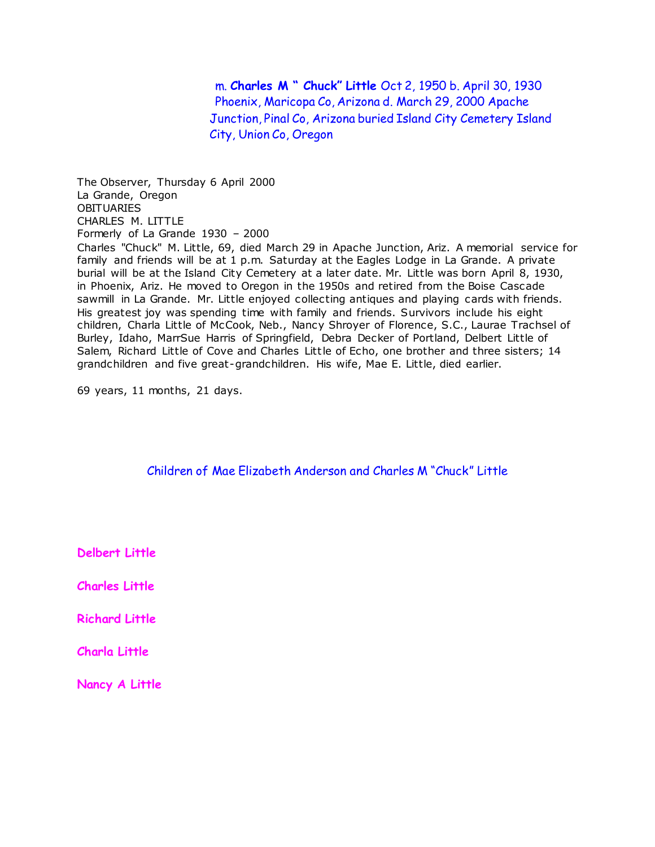m. **Charles M " Chuck" Little** Oct 2, 1950 b. April 30, 1930 Phoenix, Maricopa Co, Arizona d. March 29, 2000 Apache Junction, Pinal Co, Arizona buried Island City Cemetery Island City, Union Co, Oregon

The Observer, Thursday 6 April 2000 La Grande, Oregon **OBITUARIES** CHARLES M. LITTLE Formerly of La Grande 1930 – 2000 Charles "Chuck" M. Little, 69, died March 29 in Apache Junction, Ariz. A memorial service for family and friends will be at 1 p.m. Saturday at the Eagles Lodge in La Grande. A private burial will be at the Island City Cemetery at a later date. Mr. Little was born April 8, 1930, in Phoenix, Ariz. He moved to Oregon in the 1950s and retired from the Boise Cascade sawmill in La Grande. Mr. Little enjoyed collecting antiques and playing cards with friends. His greatest joy was spending time with family and friends. Survivors include his eight children, Charla Little of McCook, Neb., Nancy Shroyer of Florence, S.C., Laurae Trachsel of Burley, Idaho, MarrSue Harris of Springfield, Debra Decker of Portland, Delbert Little of Salem, Richard Little of Cove and Charles Little of Echo, one brother and three sisters; 14 grandchildren and five great-grandchildren. His wife, Mae E. Little, died earlier.

69 years, 11 months, 21 days.

Children of Mae Elizabeth Anderson and Charles M "Chuck" Little

**Delbert Little**

**Charles Little**

**Richard Little**

**Charla Little**

**Nancy A Little**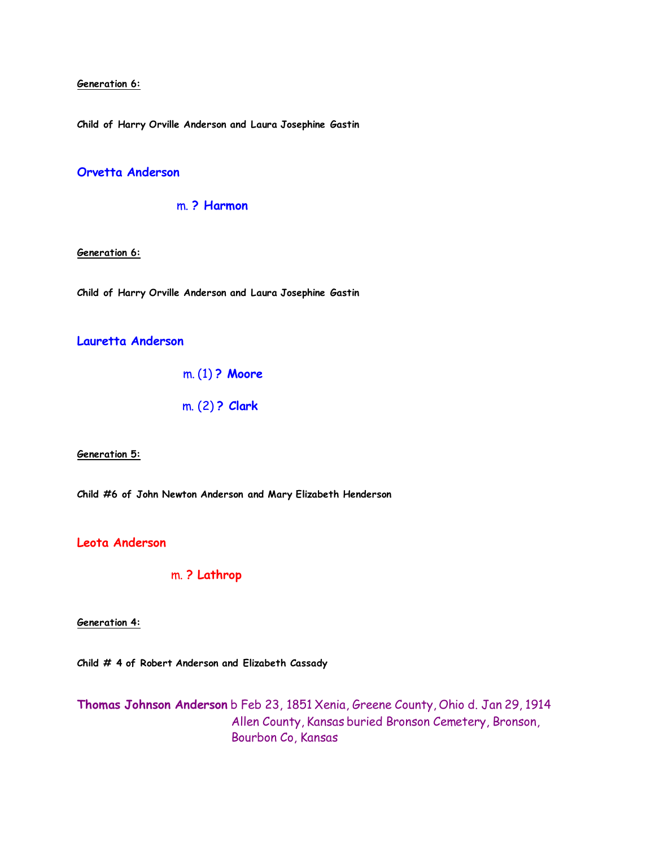#### **Generation 6:**

**Child of Harry Orville Anderson and Laura Josephine Gastin**

### **Orvetta Anderson**

### m. **? Harmon**

**Generation 6:**

**Child of Harry Orville Anderson and Laura Josephine Gastin**

### **Lauretta Anderson**

m. (1) **? Moore**

m. (2) **? Clark**

#### **Generation 5:**

**Child #6 of John Newton Anderson and Mary Elizabeth Henderson**

### **Leota Anderson**

m. **? Lathrop**

#### **Generation 4:**

**Child # 4 of Robert Anderson and Elizabeth Cassady**

**Thomas Johnson Anderson** b Feb 23, 1851 Xenia, Greene County, Ohio d. Jan 29, 1914 Allen County, Kansas buried Bronson Cemetery, Bronson, Bourbon Co, Kansas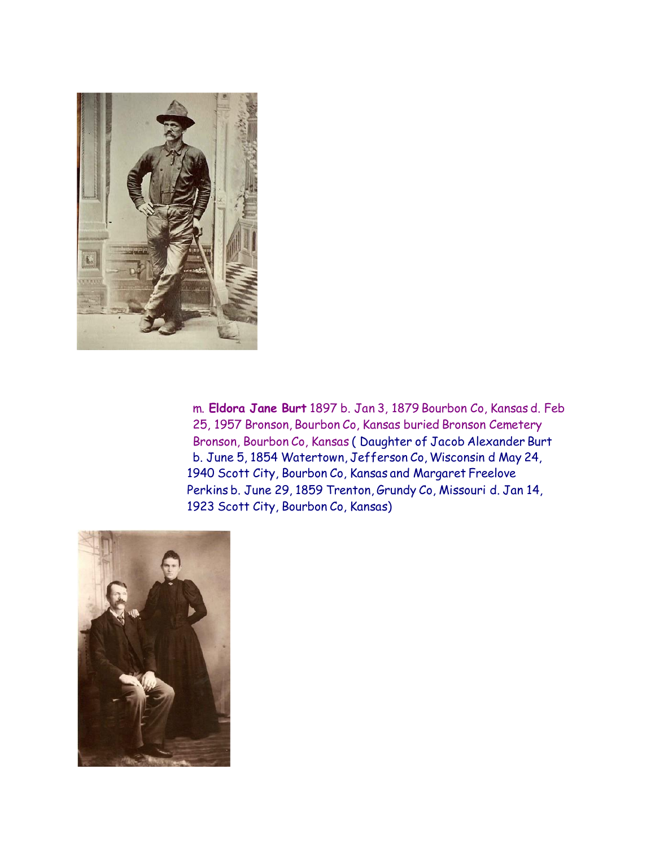

 m. **Eldora Jane Burt** 1897 b. Jan 3, 1879 Bourbon Co, Kansas d. Feb 25, 1957 Bronson, Bourbon Co, Kansas buried Bronson Cemetery Bronson, Bourbon Co, Kansas ( Daughter of Jacob Alexander Burt b. June 5, 1854 Watertown, Jefferson Co, Wisconsin d May 24, 1940 Scott City, Bourbon Co, Kansas and Margaret Freelove Perkins b. June 29, 1859 Trenton, Grundy Co, Missouri d. Jan 14, 1923 Scott City, Bourbon Co, Kansas)

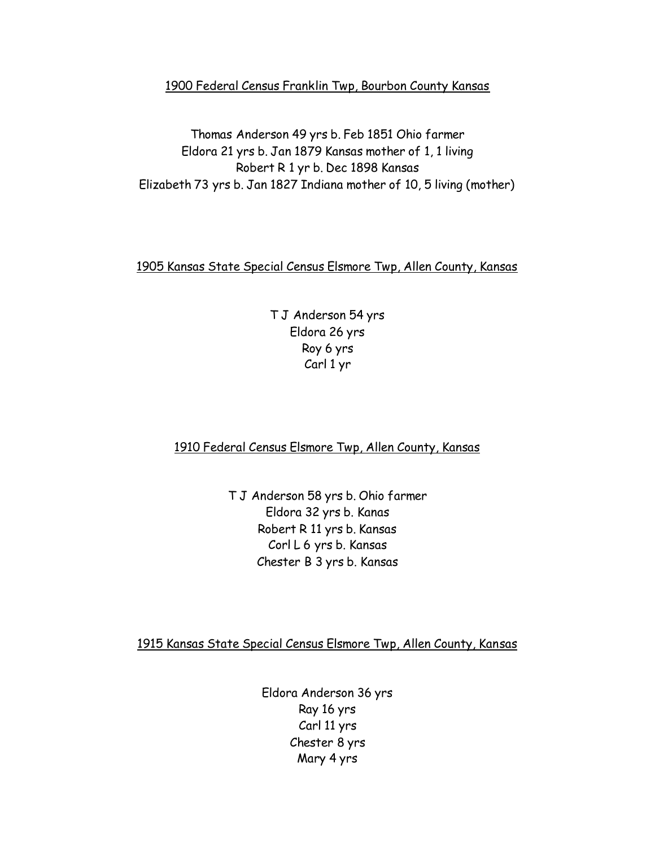## 1900 Federal Census Franklin Twp, Bourbon County Kansas

Thomas Anderson 49 yrs b. Feb 1851 Ohio farmer Eldora 21 yrs b. Jan 1879 Kansas mother of 1, 1 living Robert R 1 yr b. Dec 1898 Kansas Elizabeth 73 yrs b. Jan 1827 Indiana mother of 10, 5 living (mother)

## 1905 Kansas State Special Census Elsmore Twp, Allen County, Kansas

T J Anderson 54 yrs Eldora 26 yrs Roy 6 yrs Carl 1 yr

# 1910 Federal Census Elsmore Twp, Allen County, Kansas

T J Anderson 58 yrs b. Ohio farmer Eldora 32 yrs b. Kanas Robert R 11 yrs b. Kansas Corl L 6 yrs b. Kansas Chester B 3 yrs b. Kansas

1915 Kansas State Special Census Elsmore Twp, Allen County, Kansas

Eldora Anderson 36 yrs Ray 16 yrs Carl 11 yrs Chester 8 yrs Mary 4 yrs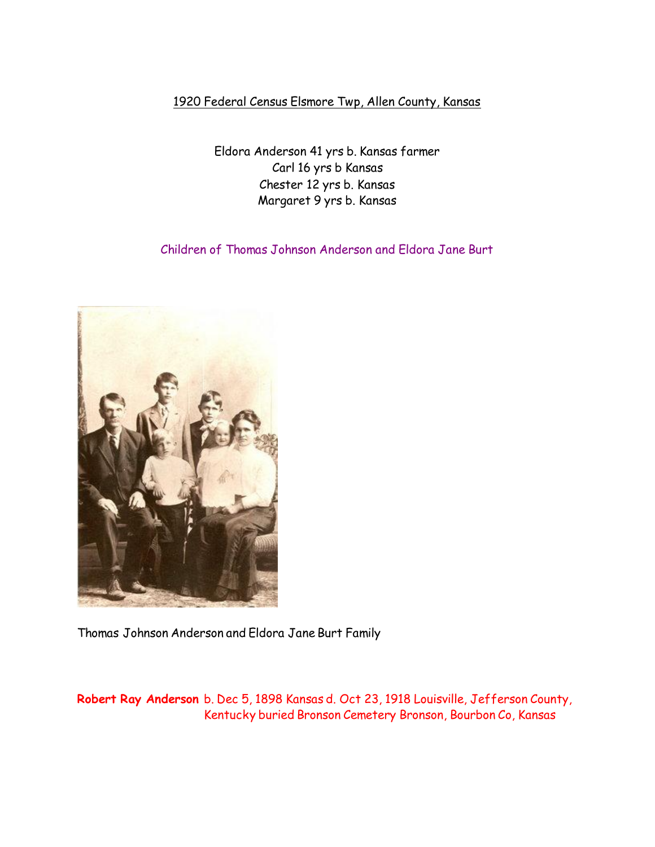# 1920 Federal Census Elsmore Twp, Allen County, Kansas

Eldora Anderson 41 yrs b. Kansas farmer Carl 16 yrs b Kansas Chester 12 yrs b. Kansas Margaret 9 yrs b. Kansas

Children of Thomas Johnson Anderson and Eldora Jane Burt



Thomas Johnson Anderson and Eldora Jane Burt Family

**Robert Ray Anderson** b. Dec 5, 1898 Kansas d. Oct 23, 1918 Louisville, Jefferson County, Kentucky buried Bronson Cemetery Bronson, Bourbon Co, Kansas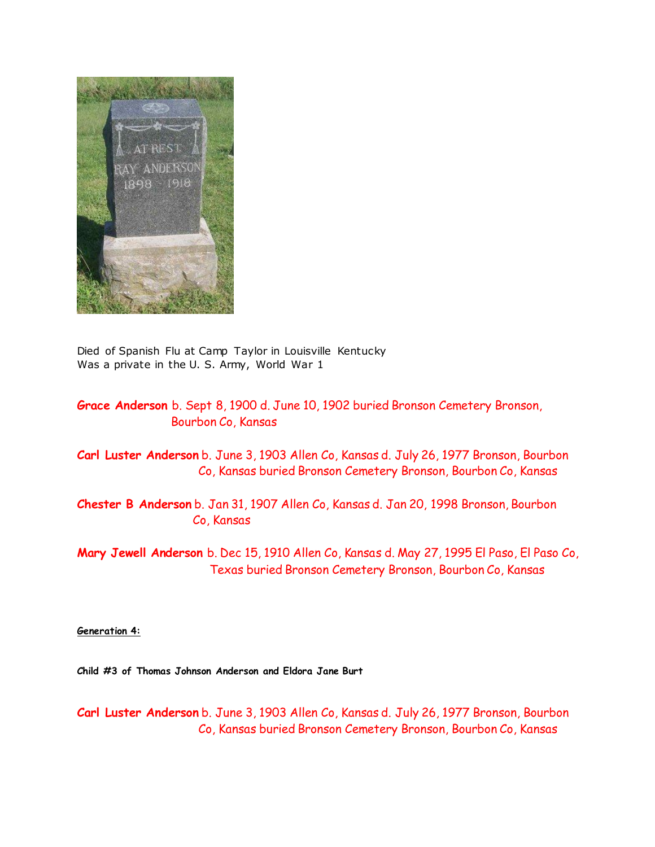

Died of Spanish Flu at Camp Taylor in Louisville Kentucky Was a private in the U. S. Army, World War 1

# **Grace Anderson** b. Sept 8, 1900 d. June 10, 1902 buried Bronson Cemetery Bronson, Bourbon Co, Kansas

**Carl Luster Anderson** b. June 3, 1903 Allen Co, Kansas d. July 26, 1977 Bronson, Bourbon Co, Kansas buried Bronson Cemetery Bronson, Bourbon Co, Kansas

**Chester B Anderson** b. Jan 31, 1907 Allen Co, Kansas d. Jan 20, 1998 Bronson, Bourbon Co, Kansas

**Mary Jewell Anderson** b. Dec 15, 1910 Allen Co, Kansas d. May 27, 1995 El Paso, El Paso Co, Texas buried Bronson Cemetery Bronson, Bourbon Co, Kansas

**Generation 4:**

**Child #3 of Thomas Johnson Anderson and Eldora Jane Burt**

**Carl Luster Anderson** b. June 3, 1903 Allen Co, Kansas d. July 26, 1977 Bronson, Bourbon Co, Kansas buried Bronson Cemetery Bronson, Bourbon Co, Kansas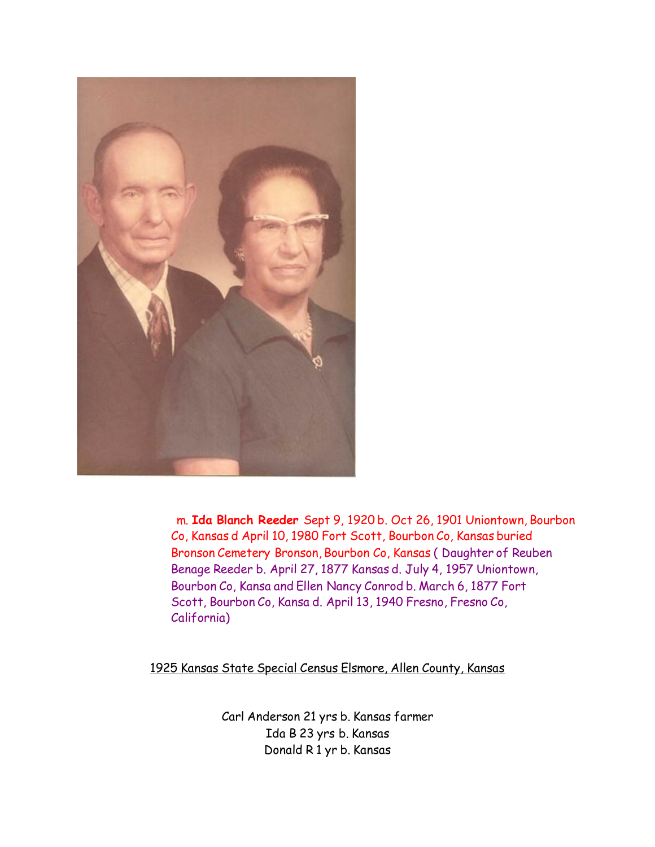

 m. **Ida Blanch Reeder** Sept 9, 1920 b. Oct 26, 1901 Uniontown, Bourbon Co, Kansas d April 10, 1980 Fort Scott, Bourbon Co, Kansas buried Bronson Cemetery Bronson, Bourbon Co, Kansas ( Daughter of Reuben Benage Reeder b. April 27, 1877 Kansas d. July 4, 1957 Uniontown, Bourbon Co, Kansa and Ellen Nancy Conrod b. March 6, 1877 Fort Scott, Bourbon Co, Kansa d. April 13, 1940 Fresno, Fresno Co, California)

1925 Kansas State Special Census Elsmore, Allen County, Kansas

Carl Anderson 21 yrs b. Kansas farmer Ida B 23 yrs b. Kansas Donald R 1 yr b. Kansas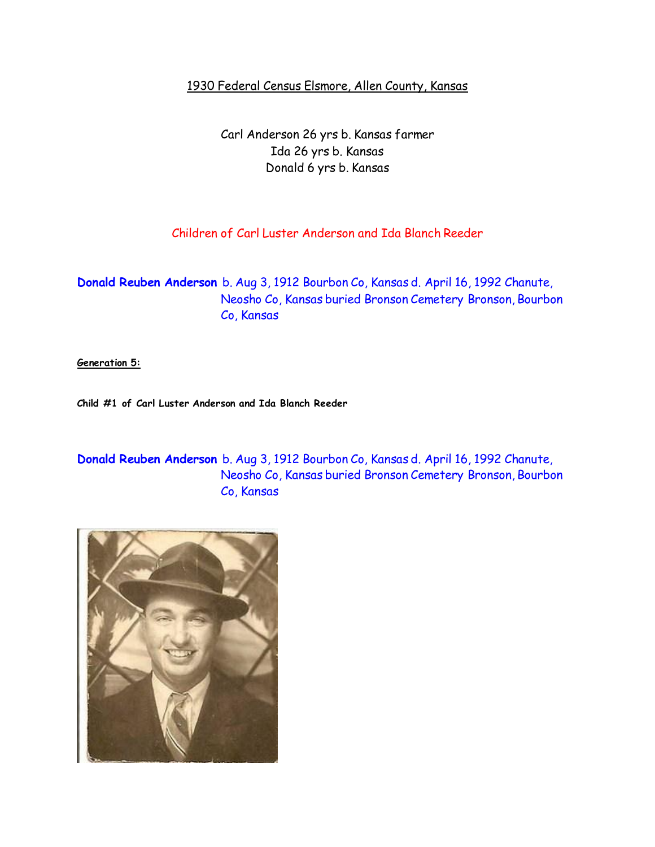# 1930 Federal Census Elsmore, Allen County, Kansas

Carl Anderson 26 yrs b. Kansas farmer Ida 26 yrs b. Kansas Donald 6 yrs b. Kansas

# Children of Carl Luster Anderson and Ida Blanch Reeder

**Donald Reuben Anderson** b. Aug 3, 1912 Bourbon Co, Kansas d. April 16, 1992 Chanute, Neosho Co, Kansas buried Bronson Cemetery Bronson, Bourbon Co, Kansas

**Generation 5:**

**Child #1 of Carl Luster Anderson and Ida Blanch Reeder**

**Donald Reuben Anderson** b. Aug 3, 1912 Bourbon Co, Kansas d. April 16, 1992 Chanute, Neosho Co, Kansas buried Bronson Cemetery Bronson, Bourbon Co, Kansas

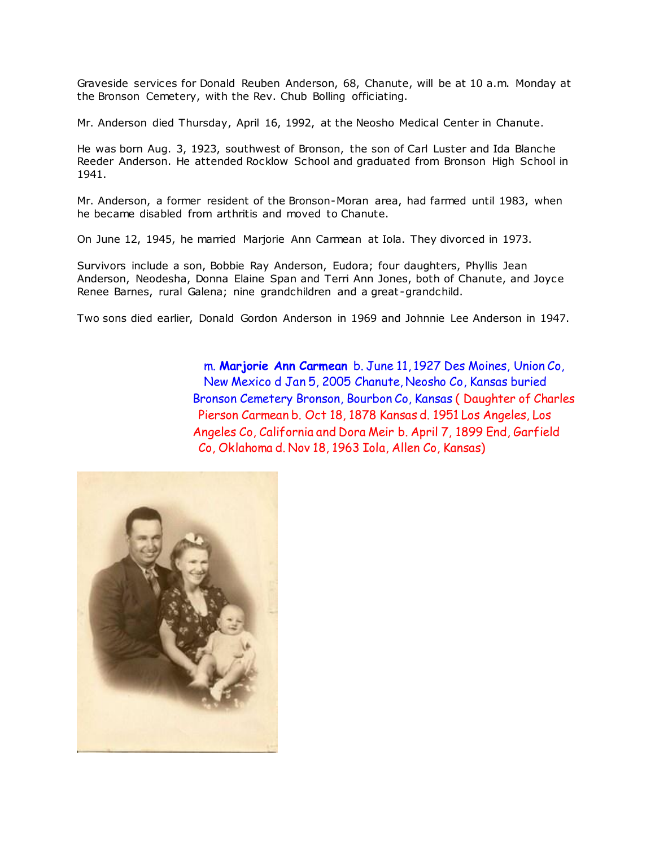Graveside services for Donald Reuben Anderson, 68, Chanute, will be at 10 a.m. Monday at the Bronson Cemetery, with the Rev. Chub Bolling officiating.

Mr. Anderson died Thursday, April 16, 1992, at the Neosho Medical Center in Chanute.

He was born Aug. 3, 1923, southwest of Bronson, the son of Carl Luster and Ida Blanche Reeder Anderson. He attended Rocklow School and graduated from Bronson High School in 1941.

Mr. Anderson, a former resident of the Bronson-Moran area, had farmed until 1983, when he became disabled from arthritis and moved to Chanute.

On June 12, 1945, he married Marjorie Ann Carmean at Iola. They divorced in 1973.

Survivors include a son, Bobbie Ray Anderson, Eudora; four daughters, Phyllis Jean Anderson, Neodesha, Donna Elaine Span and Terri Ann Jones, both of Chanute, and Joyce Renee Barnes, rural Galena; nine grandchildren and a great -grandchild.

Two sons died earlier, Donald Gordon Anderson in 1969 and Johnnie Lee Anderson in 1947.

 m. **Marjorie Ann Carmean** b. June 11, 1927 Des Moines, Union Co, New Mexico d Jan 5, 2005 Chanute, Neosho Co, Kansas buried Bronson Cemetery Bronson, Bourbon Co, Kansas ( Daughter of Charles Pierson Carmean b. Oct 18, 1878 Kansas d. 1951 Los Angeles, Los Angeles Co, California and Dora Meir b. April 7, 1899 End, Garfield Co, Oklahoma d. Nov 18, 1963 Iola, Allen Co, Kansas)

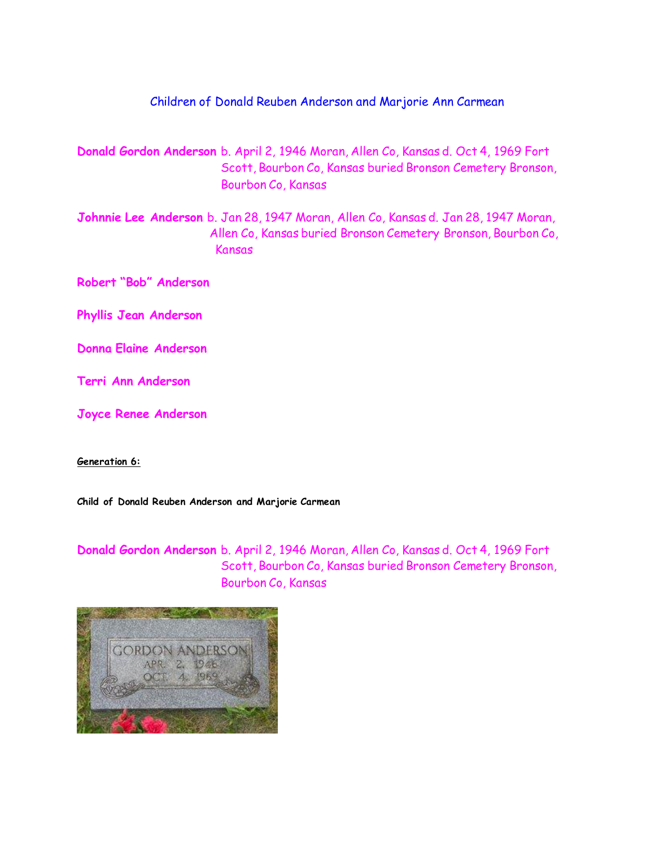# Children of Donald Reuben Anderson and Marjorie Ann Carmean

- **Donald Gordon Anderson** b. April 2, 1946 Moran, Allen Co, Kansas d. Oct 4, 1969 Fort Scott, Bourbon Co, Kansas buried Bronson Cemetery Bronson, Bourbon Co, Kansas
- **Johnnie Lee Anderson** b. Jan 28, 1947 Moran, Allen Co, Kansas d. Jan 28, 1947 Moran, Allen Co, Kansas buried Bronson Cemetery Bronson, Bourbon Co, Kansas
- **Robert "Bob" Anderson**
- **Phyllis Jean Anderson**
- **Donna Elaine Anderson**
- **Terri Ann Anderson**
- **Joyce Renee Anderson**

### **Generation 6:**

**Child of Donald Reuben Anderson and Marjorie Carmean**

**Donald Gordon Anderson** b. April 2, 1946 Moran, Allen Co, Kansas d. Oct 4, 1969 Fort Scott, Bourbon Co, Kansas buried Bronson Cemetery Bronson, Bourbon Co, Kansas

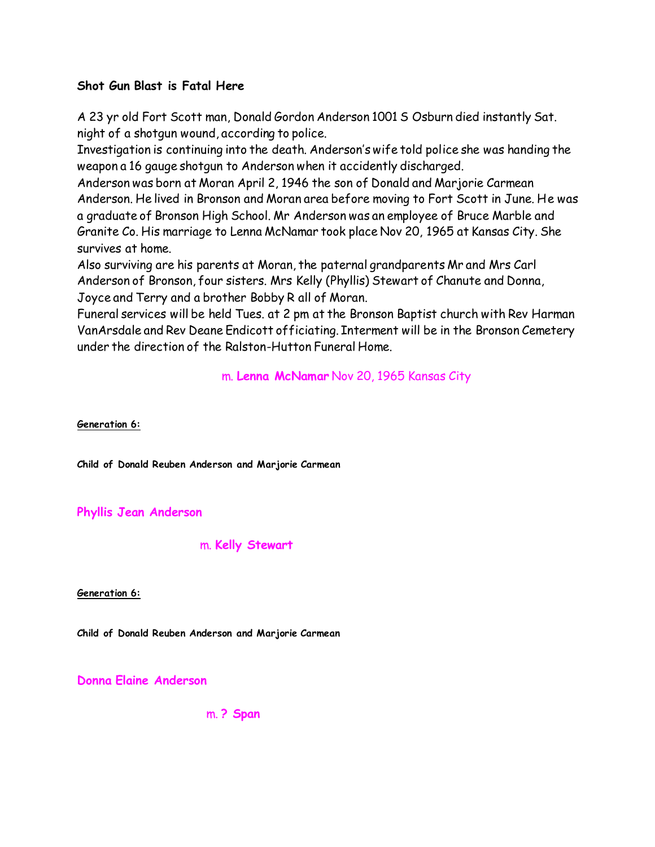# **Shot Gun Blast is Fatal Here**

A 23 yr old Fort Scott man, Donald Gordon Anderson 1001 S Osburn died instantly Sat. night of a shotgun wound, according to police.

Investigation is continuing into the death. Anderson's wife told police she was handing the weapon a 16 gauge shotgun to Anderson when it accidently discharged.

Anderson was born at Moran April 2, 1946 the son of Donald and Marjorie Carmean Anderson. He lived in Bronson and Moran area before moving to Fort Scott in June. He was a graduate of Bronson High School. Mr Anderson was an employee of Bruce Marble and Granite Co. His marriage to Lenna McNamar took place Nov 20, 1965 at Kansas City. She survives at home.

Also surviving are his parents at Moran, the paternal grandparents Mr and Mrs Carl Anderson of Bronson, four sisters. Mrs Kelly (Phyllis) Stewart of Chanute and Donna, Joyce and Terry and a brother Bobby R all of Moran.

Funeral services will be held Tues. at 2 pm at the Bronson Baptist church with Rev Harman VanArsdale and Rev Deane Endicott officiating. Interment will be in the Bronson Cemetery under the direction of the Ralston-Hutton Funeral Home.

m. **Lenna McNamar** Nov 20, 1965 Kansas City

**Generation 6:**

**Child of Donald Reuben Anderson and Marjorie Carmean**

**Phyllis Jean Anderson**

m. **Kelly Stewart**

**Generation 6:**

**Child of Donald Reuben Anderson and Marjorie Carmean**

**Donna Elaine Anderson**

m. **? Span**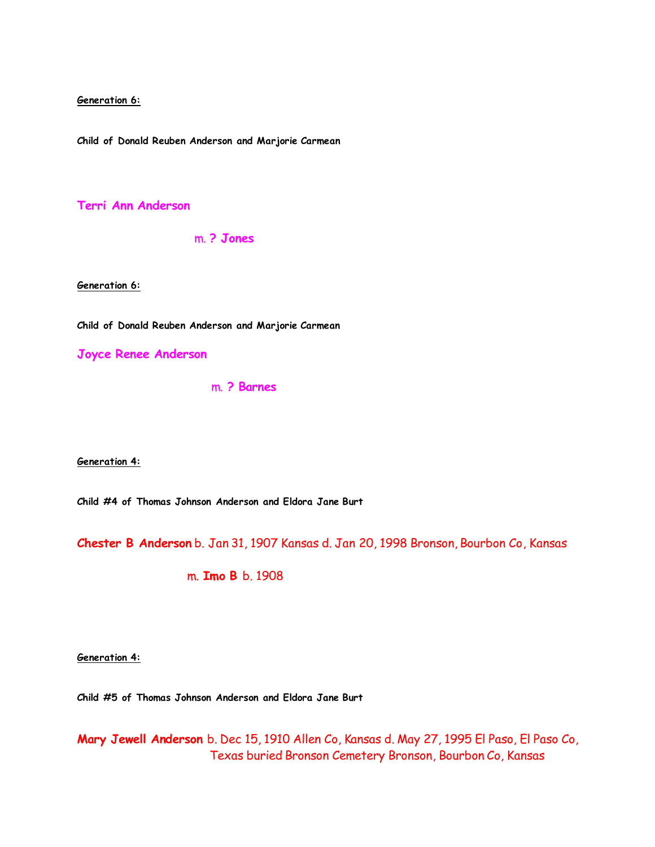**Generation 6:**

**Child of Donald Reuben Anderson and Marjorie Carmean**

**Terri Ann Anderson**

m. **? Jones**

**Generation 6:**

**Child of Donald Reuben Anderson and Marjorie Carmean**

**Joyce Renee Anderson**

m. **? Barnes**

**Generation 4:**

**Child #4 of Thomas Johnson Anderson and Eldora Jane Burt**

**Chester B Anderson** b. Jan 31, 1907 Kansas d. Jan 20, 1998 Bronson, Bourbon Co, Kansas

m. **Imo B** b. 1908

**Generation 4:**

**Child #5 of Thomas Johnson Anderson and Eldora Jane Burt**

**Mary Jewell Anderson** b. Dec 15, 1910 Allen Co, Kansas d. May 27, 1995 El Paso, El Paso Co, Texas buried Bronson Cemetery Bronson, Bourbon Co, Kansas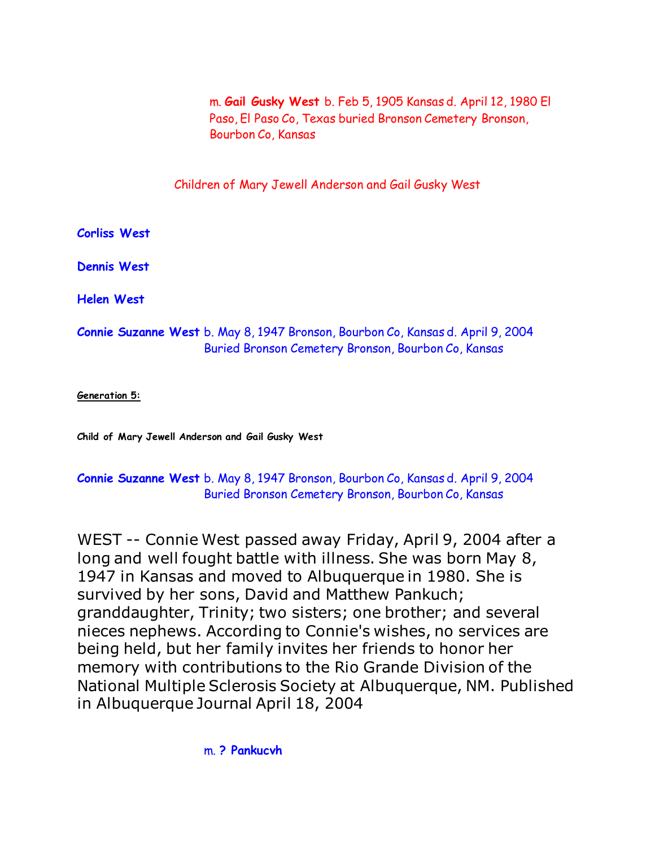m. **Gail Gusky West** b. Feb 5, 1905 Kansas d. April 12, 1980 El Paso, El Paso Co, Texas buried Bronson Cemetery Bronson, Bourbon Co, Kansas

Children of Mary Jewell Anderson and Gail Gusky West

**Corliss West**

**Dennis West**

**Helen West**

# **Connie Suzanne West** b. May 8, 1947 Bronson, Bourbon Co, Kansas d. April 9, 2004 Buried Bronson Cemetery Bronson, Bourbon Co, Kansas

**Generation 5:**

**Child of Mary Jewell Anderson and Gail Gusky West**

# **Connie Suzanne West** b. May 8, 1947 Bronson, Bourbon Co, Kansas d. April 9, 2004 Buried Bronson Cemetery Bronson, Bourbon Co, Kansas

WEST -- Connie West passed away Friday, April 9, 2004 after a long and well fought battle with illness. She was born May 8, 1947 in Kansas and moved to Albuquerque in 1980. She is survived by her sons, David and Matthew Pankuch; granddaughter, Trinity; two sisters; one brother; and several nieces nephews. According to Connie's wishes, no services are being held, but her family invites her friends to honor her memory with contributions to the Rio Grande Division of the National Multiple Sclerosis Society at Albuquerque, NM. Published in Albuquerque Journal April 18, 2004

m. **? Pankucvh**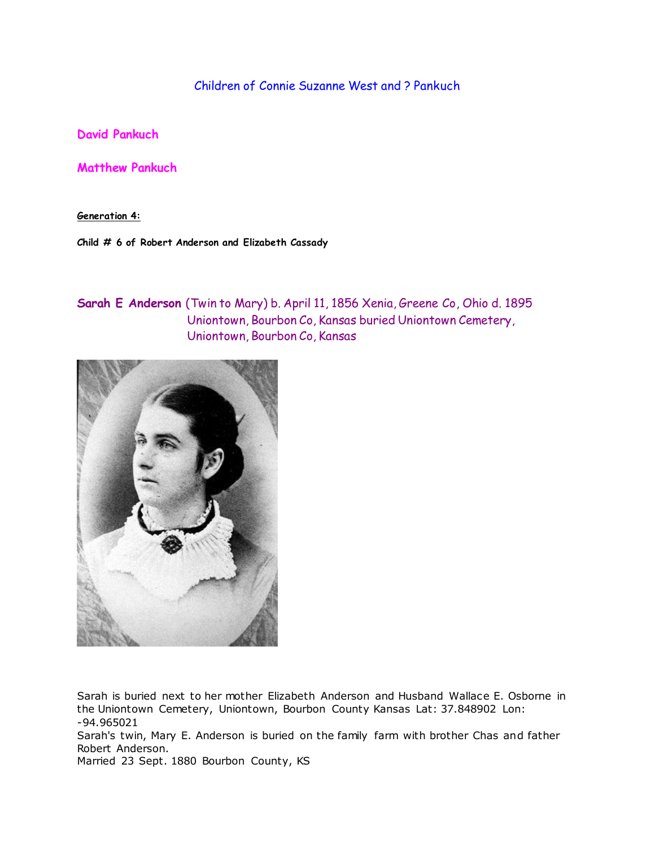Children of Connie Suzanne West and ? Pankuch

**David Pankuch**

**Matthew Pankuch**

**Generation 4:**

**Child # 6 of Robert Anderson and Elizabeth Cassady**

**Sarah E Anderson** (Twin to Mary) b. April 11, 1856 Xenia, Greene Co, Ohio d. 1895 Uniontown, Bourbon Co, Kansas buried Uniontown Cemetery, Uniontown, Bourbon Co, Kansas



Sarah is buried next to her mother Elizabeth Anderson and Husband Wallace E. Osborne in the Uniontown Cemetery, Uniontown, Bourbon County Kansas Lat: 37.848902 Lon: -94.965021

Sarah's twin, Mary E. Anderson is buried on the family farm with brother Chas and father Robert Anderson.

Married 23 Sept. 1880 Bourbon County, KS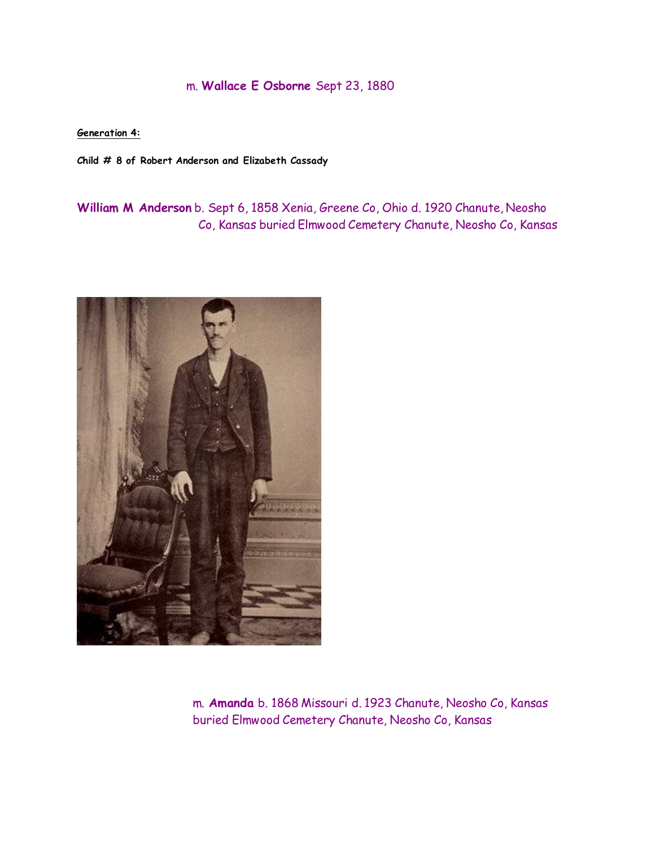## m. **Wallace E Osborne** Sept 23, 1880

**Generation 4:**

**Child # 8 of Robert Anderson and Elizabeth Cassady**

**William M Anderson** b. Sept 6, 1858 Xenia, Greene Co, Ohio d. 1920 Chanute, Neosho Co, Kansas buried Elmwood Cemetery Chanute, Neosho Co, Kansas



 m. **Amanda** b. 1868 Missouri d. 1923 Chanute, Neosho Co, Kansas buried Elmwood Cemetery Chanute, Neosho Co, Kansas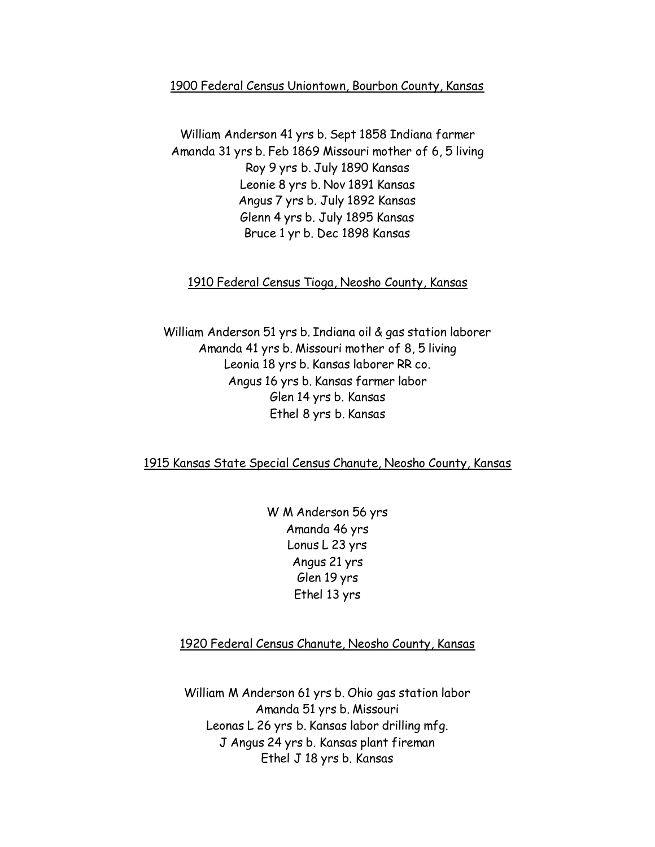### 1900 Federal Census Uniontown, Bourbon County, Kansas

William Anderson 41 yrs b. Sept 1858 Indiana farmer Amanda 31 yrs b. Feb 1869 Missouri mother of 6, 5 living Roy 9 yrs b. July 1890 Kansas Leonie 8 yrs b. Nov 1891 Kansas Angus 7 yrs b. July 1892 Kansas Glenn 4 yrs b. July 1895 Kansas Bruce 1 yr b. Dec 1898 Kansas

### 1910 Federal Census Tioga, Neosho County, Kansas

William Anderson 51 yrs b. Indiana oil & gas station laborer Amanda 41 yrs b. Missouri mother of 8, 5 living Leonia 18 yrs b. Kansas laborer RR co. Angus 16 yrs b. Kansas farmer labor Glen 14 yrs b. Kansas Ethel 8 yrs b. Kansas

### 1915 Kansas State Special Census Chanute, Neosho County, Kansas

W M Anderson 56 yrs Amanda 46 yrs Lonus L 23 yrs Angus 21 yrs Glen 19 yrs Ethel 13 yrs

### 1920 Federal Census Chanute, Neosho County, Kansas

William M Anderson 61 yrs b. Ohio gas station labor Amanda 51 yrs b. Missouri Leonas L 26 yrs b. Kansas labor drilling mfg. J Angus 24 yrs b. Kansas plant fireman Ethel J 18 yrs b. Kansas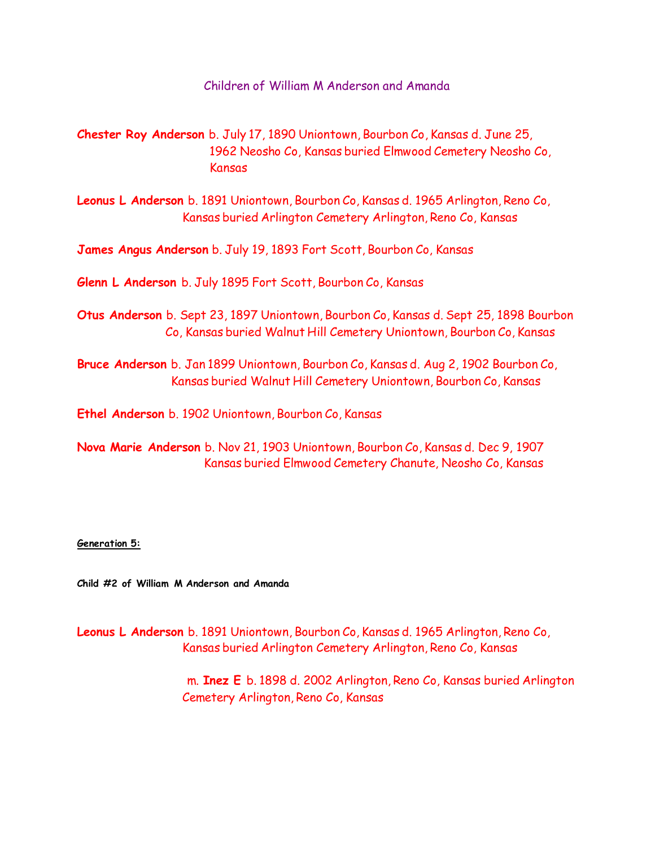Children of William M Anderson and Amanda

**Chester Roy Anderson** b. July 17, 1890 Uniontown, Bourbon Co, Kansas d. June 25, 1962 Neosho Co, Kansas buried Elmwood Cemetery Neosho Co, Kansas

**Leonus L Anderson** b. 1891 Uniontown, Bourbon Co, Kansas d. 1965 Arlington, Reno Co, Kansas buried Arlington Cemetery Arlington, Reno Co, Kansas

**James Angus Anderson** b. July 19, 1893 Fort Scott, Bourbon Co, Kansas

**Glenn L Anderson** b. July 1895 Fort Scott, Bourbon Co, Kansas

**Otus Anderson** b. Sept 23, 1897 Uniontown, Bourbon Co, Kansas d. Sept 25, 1898 Bourbon Co, Kansas buried Walnut Hill Cemetery Uniontown, Bourbon Co, Kansas

**Bruce Anderson** b. Jan 1899 Uniontown, Bourbon Co, Kansas d. Aug 2, 1902 Bourbon Co, Kansas buried Walnut Hill Cemetery Uniontown, Bourbon Co, Kansas

**Ethel Anderson** b. 1902 Uniontown, Bourbon Co, Kansas

**Nova Marie Anderson** b. Nov 21, 1903 Uniontown, Bourbon Co, Kansas d. Dec 9, 1907 Kansas buried Elmwood Cemetery Chanute, Neosho Co, Kansas

#### **Generation 5:**

**Child #2 of William M Anderson and Amanda**

**Leonus L Anderson** b. 1891 Uniontown, Bourbon Co, Kansas d. 1965 Arlington, Reno Co, Kansas buried Arlington Cemetery Arlington, Reno Co, Kansas

> m. **Inez E** b. 1898 d. 2002 Arlington, Reno Co, Kansas buried Arlington Cemetery Arlington, Reno Co, Kansas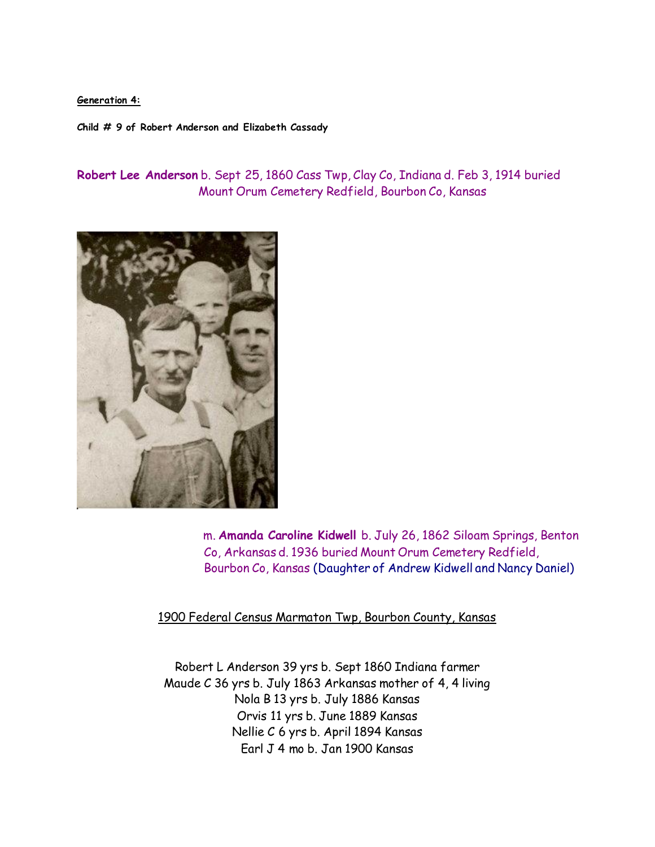### **Generation 4:**

**Child # 9 of Robert Anderson and Elizabeth Cassady**

**Robert Lee Anderson** b. Sept 25, 1860 Cass Twp, Clay Co, Indiana d. Feb 3, 1914 buried Mount Orum Cemetery Redfield, Bourbon Co, Kansas



 m. **Amanda Caroline Kidwell** b. July 26, 1862 Siloam Springs, Benton Co, Arkansas d. 1936 buried Mount Orum Cemetery Redfield, Bourbon Co, Kansas (Daughter of Andrew Kidwell and Nancy Daniel)

1900 Federal Census Marmaton Twp, Bourbon County, Kansas

Robert L Anderson 39 yrs b. Sept 1860 Indiana farmer Maude C 36 yrs b. July 1863 Arkansas mother of 4, 4 living Nola B 13 yrs b. July 1886 Kansas Orvis 11 yrs b. June 1889 Kansas Nellie C 6 yrs b. April 1894 Kansas Earl J 4 mo b. Jan 1900 Kansas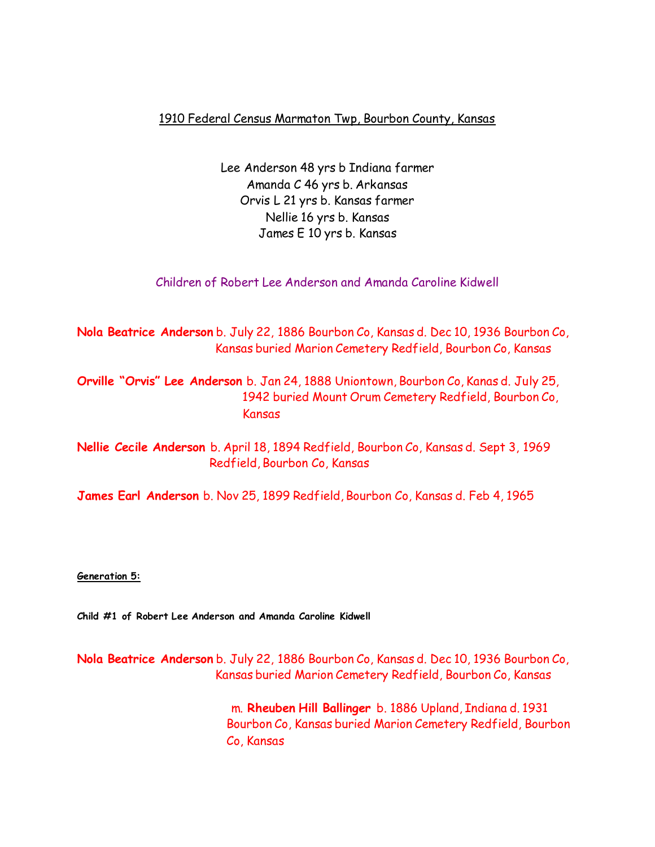## 1910 Federal Census Marmaton Twp, Bourbon County, Kansas

Lee Anderson 48 yrs b Indiana farmer Amanda C 46 yrs b. Arkansas Orvis L 21 yrs b. Kansas farmer Nellie 16 yrs b. Kansas James E 10 yrs b. Kansas

Children of Robert Lee Anderson and Amanda Caroline Kidwell

**Nola Beatrice Anderson** b. July 22, 1886 Bourbon Co, Kansas d. Dec 10, 1936 Bourbon Co, Kansas buried Marion Cemetery Redfield, Bourbon Co, Kansas

**Orville "Orvis" Lee Anderson** b. Jan 24, 1888 Uniontown, Bourbon Co, Kanas d. July 25, 1942 buried Mount Orum Cemetery Redfield, Bourbon Co, Kansas

**Nellie Cecile Anderson** b. April 18, 1894 Redfield, Bourbon Co, Kansas d. Sept 3, 1969 Redfield, Bourbon Co, Kansas

**James Earl Anderson** b. Nov 25, 1899 Redfield, Bourbon Co, Kansas d. Feb 4, 1965

**Generation 5:**

**Child #1 of Robert Lee Anderson and Amanda Caroline Kidwell**

**Nola Beatrice Anderson** b. July 22, 1886 Bourbon Co, Kansas d. Dec 10, 1936 Bourbon Co, Kansas buried Marion Cemetery Redfield, Bourbon Co, Kansas

> m. **Rheuben Hill Ballinger** b. 1886 Upland, Indiana d. 1931 Bourbon Co, Kansas buried Marion Cemetery Redfield, Bourbon Co, Kansas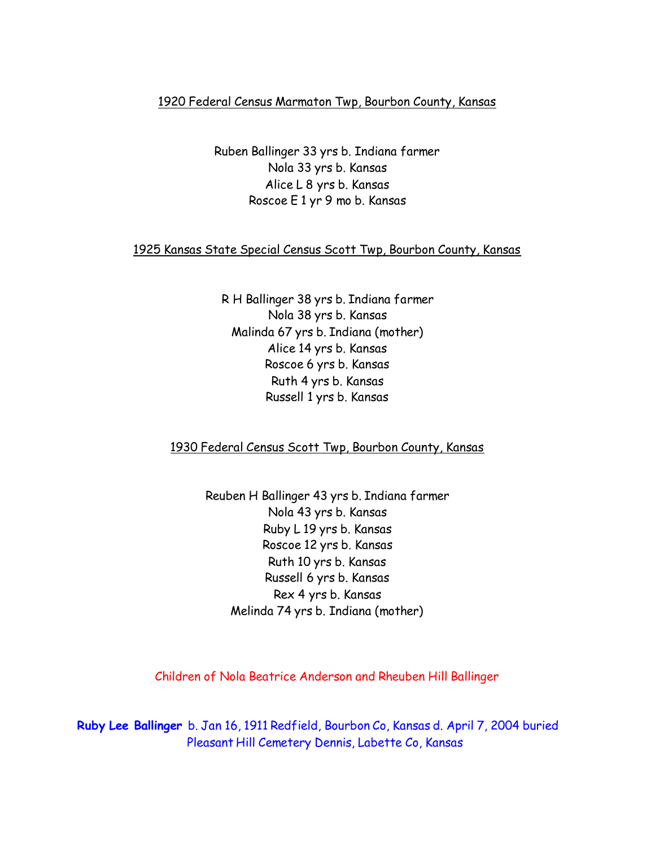## 1920 Federal Census Marmaton Twp, Bourbon County, Kansas

Ruben Ballinger 33 yrs b. Indiana farmer Nola 33 yrs b. Kansas Alice L 8 yrs b. Kansas Roscoe E 1 yr 9 mo b. Kansas

### 1925 Kansas State Special Census Scott Twp, Bourbon County, Kansas

R H Ballinger 38 yrs b. Indiana farmer Nola 38 yrs b. Kansas Malinda 67 yrs b. Indiana (mother) Alice 14 yrs b. Kansas Roscoe 6 yrs b. Kansas Ruth 4 yrs b. Kansas Russell 1 yrs b. Kansas

## 1930 Federal Census Scott Twp, Bourbon County, Kansas

Reuben H Ballinger 43 yrs b. Indiana farmer Nola 43 yrs b. Kansas Ruby L 19 yrs b. Kansas Roscoe 12 yrs b. Kansas Ruth 10 yrs b. Kansas Russell 6 yrs b. Kansas Rex 4 yrs b. Kansas Melinda 74 yrs b. Indiana (mother)

Children of Nola Beatrice Anderson and Rheuben Hill Ballinger

**Ruby Lee Ballinger** b. Jan 16, 1911 Redfield, Bourbon Co, Kansas d. April 7, 2004 buried Pleasant Hill Cemetery Dennis, Labette Co, Kansas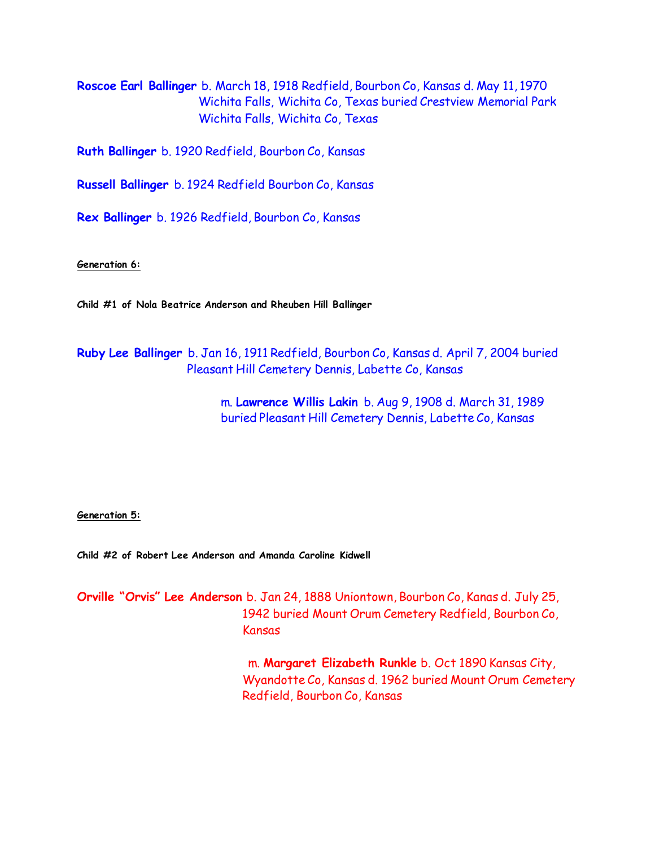**Roscoe Earl Ballinger** b. March 18, 1918 Redfield, Bourbon Co, Kansas d. May 11, 1970 Wichita Falls, Wichita Co, Texas buried Crestview Memorial Park Wichita Falls, Wichita Co, Texas

**Ruth Ballinger** b. 1920 Redfield, Bourbon Co, Kansas

**Russell Ballinger** b. 1924 Redfield Bourbon Co, Kansas

**Rex Ballinger** b. 1926 Redfield, Bourbon Co, Kansas

**Generation 6:**

**Child #1 of Nola Beatrice Anderson and Rheuben Hill Ballinger**

**Ruby Lee Ballinger** b. Jan 16, 1911 Redfield, Bourbon Co, Kansas d. April 7, 2004 buried Pleasant Hill Cemetery Dennis, Labette Co, Kansas

> m. **Lawrence Willis Lakin** b. Aug 9, 1908 d. March 31, 1989 buried Pleasant Hill Cemetery Dennis, Labette Co, Kansas

**Generation 5:**

**Child #2 of Robert Lee Anderson and Amanda Caroline Kidwell**

**Orville "Orvis" Lee Anderson** b. Jan 24, 1888 Uniontown, Bourbon Co, Kanas d. July 25, 1942 buried Mount Orum Cemetery Redfield, Bourbon Co, Kansas

> m. **Margaret Elizabeth Runkle** b. Oct 1890 Kansas City, Wyandotte Co, Kansas d. 1962 buried Mount Orum Cemetery Redfield, Bourbon Co, Kansas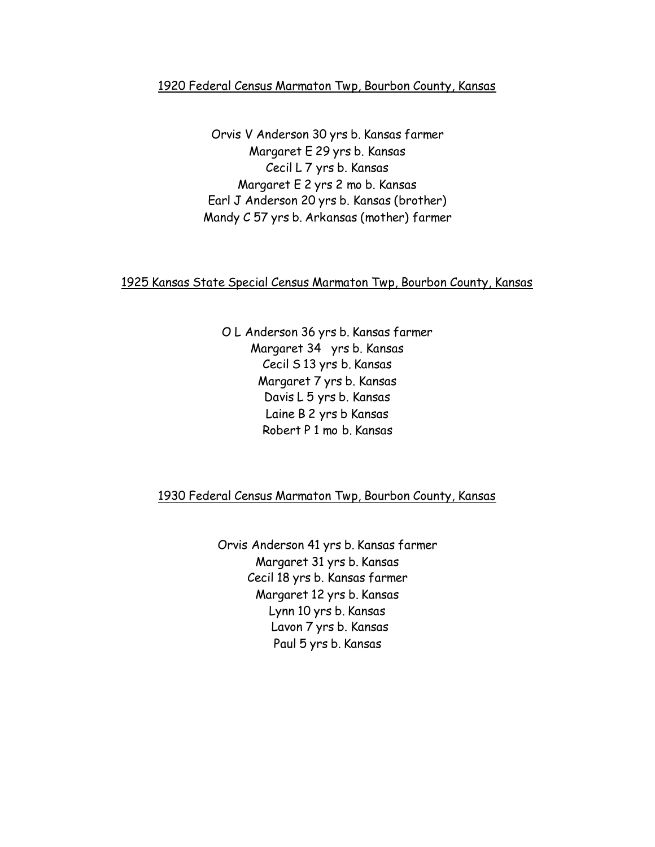## 1920 Federal Census Marmaton Twp, Bourbon County, Kansas

Orvis V Anderson 30 yrs b. Kansas farmer Margaret E 29 yrs b. Kansas Cecil L 7 yrs b. Kansas Margaret E 2 yrs 2 mo b. Kansas Earl J Anderson 20 yrs b. Kansas (brother) Mandy C 57 yrs b. Arkansas (mother) farmer

# 1925 Kansas State Special Census Marmaton Twp, Bourbon County, Kansas

O L Anderson 36 yrs b. Kansas farmer Margaret 34 yrs b. Kansas Cecil S 13 yrs b. Kansas Margaret 7 yrs b. Kansas Davis L 5 yrs b. Kansas Laine B 2 yrs b Kansas Robert P 1 mo b. Kansas

# 1930 Federal Census Marmaton Twp, Bourbon County, Kansas

Orvis Anderson 41 yrs b. Kansas farmer Margaret 31 yrs b. Kansas Cecil 18 yrs b. Kansas farmer Margaret 12 yrs b. Kansas Lynn 10 yrs b. Kansas Lavon 7 yrs b. Kansas Paul 5 yrs b. Kansas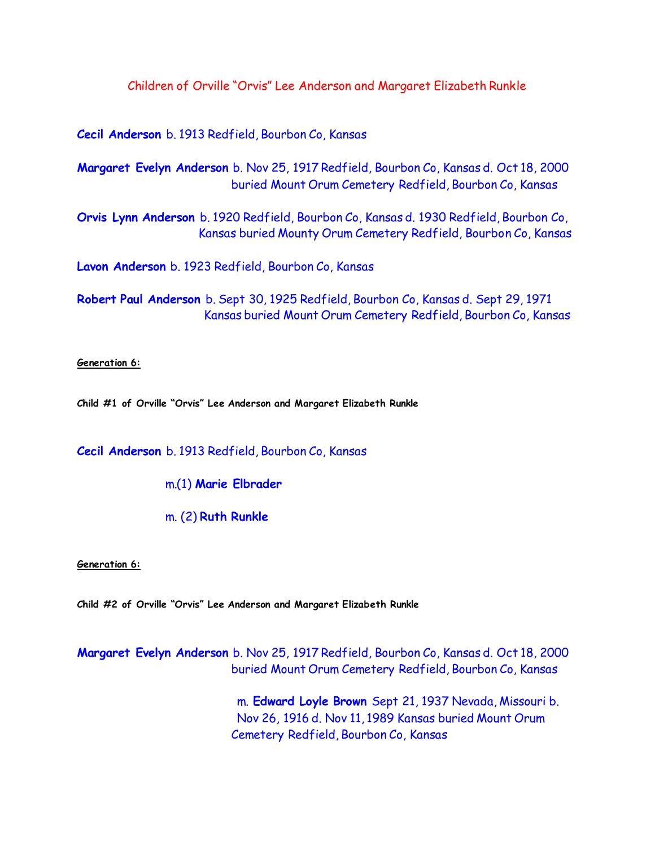Children of Orville "Orvis" Lee Anderson and Margaret Elizabeth Runkle

**Cecil Anderson** b. 1913 Redfield, Bourbon Co, Kansas

**Margaret Evelyn Anderson** b. Nov 25, 1917 Redfield, Bourbon Co, Kansas d. Oct 18, 2000 buried Mount Orum Cemetery Redfield, Bourbon Co, Kansas

**Orvis Lynn Anderson** b. 1920 Redfield, Bourbon Co, Kansas d. 1930 Redfield, Bourbon Co, Kansas buried Mounty Orum Cemetery Redfield, Bourbon Co, Kansas

**Lavon Anderson** b. 1923 Redfield, Bourbon Co, Kansas

**Robert Paul Anderson** b. Sept 30, 1925 Redfield, Bourbon Co, Kansas d. Sept 29, 1971 Kansas buried Mount Orum Cemetery Redfield, Bourbon Co, Kansas

**Generation 6:**

**Child #1 of Orville "Orvis" Lee Anderson and Margaret Elizabeth Runkle**

**Cecil Anderson** b. 1913 Redfield, Bourbon Co, Kansas

m.(1) **Marie Elbrader**

m. (2) **Ruth Runkle**

**Generation 6:**

**Child #2 of Orville "Orvis" Lee Anderson and Margaret Elizabeth Runkle**

**Margaret Evelyn Anderson** b. Nov 25, 1917 Redfield, Bourbon Co, Kansas d. Oct 18, 2000 buried Mount Orum Cemetery Redfield, Bourbon Co, Kansas

> m. **Edward Loyle Brown** Sept 21, 1937 Nevada, Missouri b. Nov 26, 1916 d. Nov 11, 1989 Kansas buried Mount Orum Cemetery Redfield, Bourbon Co, Kansas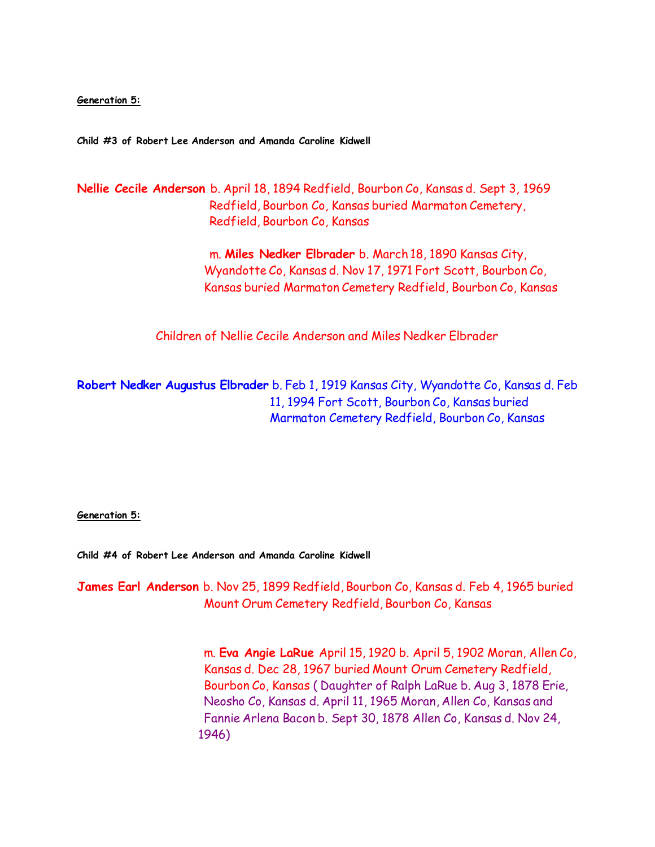**Generation 5:**

**Child #3 of Robert Lee Anderson and Amanda Caroline Kidwell**

**Nellie Cecile Anderson** b. April 18, 1894 Redfield, Bourbon Co, Kansas d. Sept 3, 1969 Redfield, Bourbon Co, Kansas buried Marmaton Cemetery, Redfield, Bourbon Co, Kansas

> m. **Miles Nedker Elbrader** b. March 18, 1890 Kansas City, Wyandotte Co, Kansas d. Nov 17, 1971 Fort Scott, Bourbon Co, Kansas buried Marmaton Cemetery Redfield, Bourbon Co, Kansas

Children of Nellie Cecile Anderson and Miles Nedker Elbrader

**Robert Nedker Augustus Elbrader** b. Feb 1, 1919 Kansas City, Wyandotte Co, Kansas d. Feb 11, 1994 Fort Scott, Bourbon Co, Kansas buried Marmaton Cemetery Redfield, Bourbon Co, Kansas

**Generation 5:**

**Child #4 of Robert Lee Anderson and Amanda Caroline Kidwell**

**James Earl Anderson** b. Nov 25, 1899 Redfield, Bourbon Co, Kansas d. Feb 4, 1965 buried Mount Orum Cemetery Redfield, Bourbon Co, Kansas

> m. **Eva Angie LaRue** April 15, 1920 b. April 5, 1902 Moran, Allen Co, Kansas d. Dec 28, 1967 buried Mount Orum Cemetery Redfield, Bourbon Co, Kansas ( Daughter of Ralph LaRue b. Aug 3, 1878 Erie, Neosho Co, Kansas d. April 11, 1965 Moran, Allen Co, Kansas and Fannie Arlena Bacon b. Sept 30, 1878 Allen Co, Kansas d. Nov 24, 1946)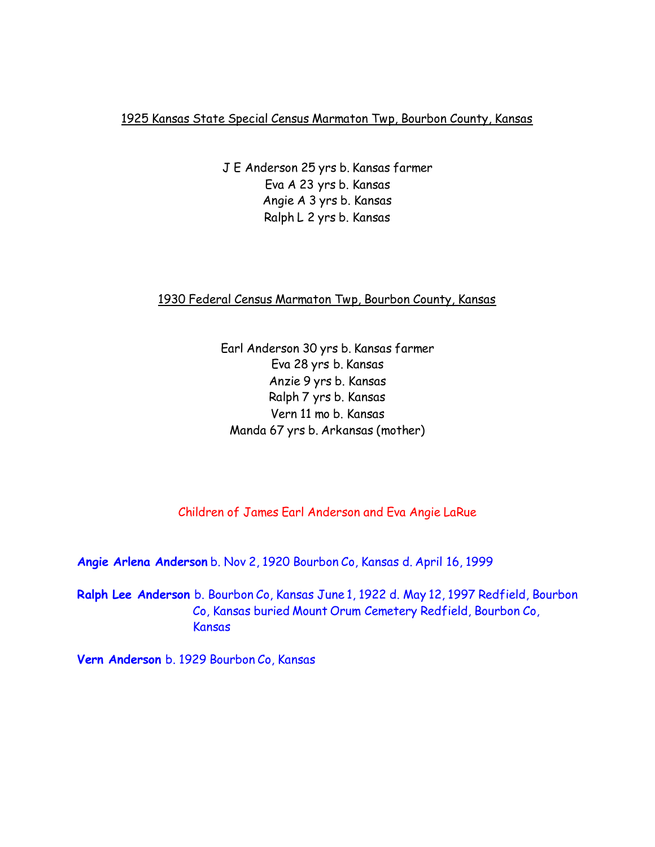1925 Kansas State Special Census Marmaton Twp, Bourbon County, Kansas

J E Anderson 25 yrs b. Kansas farmer Eva A 23 yrs b. Kansas Angie A 3 yrs b. Kansas Ralph L 2 yrs b. Kansas

1930 Federal Census Marmaton Twp, Bourbon County, Kansas

Earl Anderson 30 yrs b. Kansas farmer Eva 28 yrs b. Kansas Anzie 9 yrs b. Kansas Ralph 7 yrs b. Kansas Vern 11 mo b. Kansas Manda 67 yrs b. Arkansas (mother)

Children of James Earl Anderson and Eva Angie LaRue

**Angie Arlena Anderson** b. Nov 2, 1920 Bourbon Co, Kansas d. April 16, 1999

**Ralph Lee Anderson** b. Bourbon Co, Kansas June 1, 1922 d. May 12, 1997 Redfield, Bourbon Co, Kansas buried Mount Orum Cemetery Redfield, Bourbon Co, Kansas

**Vern Anderson** b. 1929 Bourbon Co, Kansas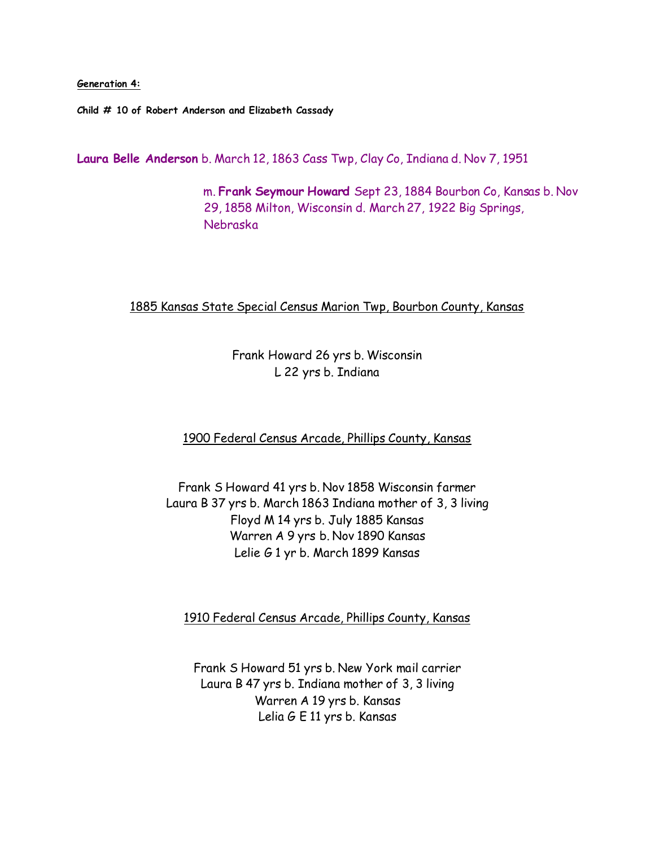**Generation 4:**

**Child # 10 of Robert Anderson and Elizabeth Cassady**

**Laura Belle Anderson** b. March 12, 1863 Cass Twp, Clay Co, Indiana d. Nov 7, 1951

 m. **Frank Seymour Howard** Sept 23, 1884 Bourbon Co, Kansas b. Nov 29, 1858 Milton, Wisconsin d. March 27, 1922 Big Springs, Nebraska

## 1885 Kansas State Special Census Marion Twp, Bourbon County, Kansas

Frank Howard 26 yrs b. Wisconsin L 22 yrs b. Indiana

1900 Federal Census Arcade, Phillips County, Kansas

Frank S Howard 41 yrs b. Nov 1858 Wisconsin farmer Laura B 37 yrs b. March 1863 Indiana mother of 3, 3 living Floyd M 14 yrs b. July 1885 Kansas Warren A 9 yrs b. Nov 1890 Kansas Lelie G 1 yr b. March 1899 Kansas

1910 Federal Census Arcade, Phillips County, Kansas

Frank S Howard 51 yrs b. New York mail carrier Laura B 47 yrs b. Indiana mother of 3, 3 living Warren A 19 yrs b. Kansas Lelia G E 11 yrs b. Kansas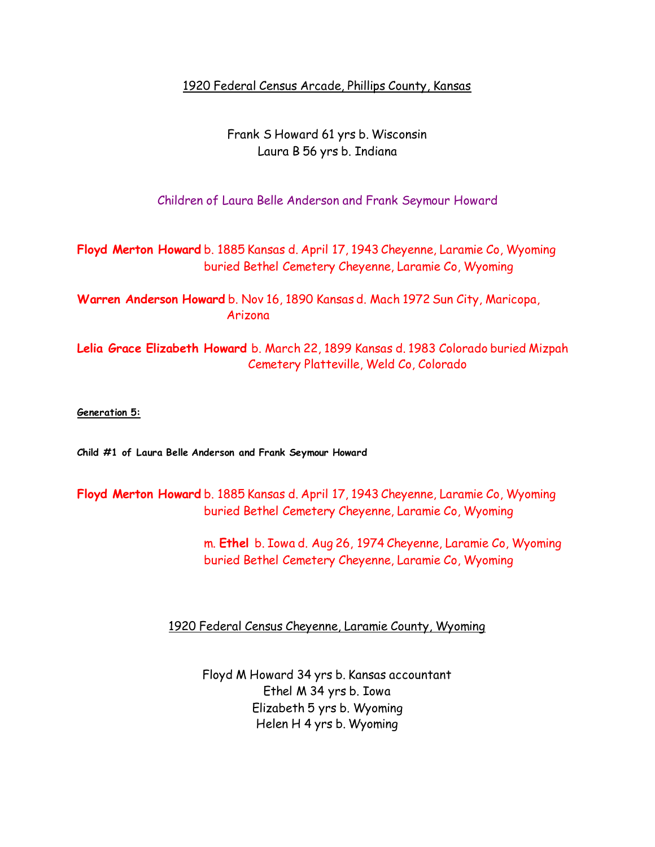1920 Federal Census Arcade, Phillips County, Kansas

Frank S Howard 61 yrs b. Wisconsin Laura B 56 yrs b. Indiana

Children of Laura Belle Anderson and Frank Seymour Howard

**Floyd Merton Howard** b. 1885 Kansas d. April 17, 1943 Cheyenne, Laramie Co, Wyoming buried Bethel Cemetery Cheyenne, Laramie Co, Wyoming

**Warren Anderson Howard** b. Nov 16, 1890 Kansas d. Mach 1972 Sun City, Maricopa, Arizona

**Lelia Grace Elizabeth Howard** b. March 22, 1899 Kansas d. 1983 Colorado buried Mizpah Cemetery Platteville, Weld Co, Colorado

### **Generation 5:**

**Child #1 of Laura Belle Anderson and Frank Seymour Howard**

**Floyd Merton Howard** b. 1885 Kansas d. April 17, 1943 Cheyenne, Laramie Co, Wyoming buried Bethel Cemetery Cheyenne, Laramie Co, Wyoming

> m. **Ethel** b. Iowa d. Aug 26, 1974 Cheyenne, Laramie Co, Wyoming buried Bethel Cemetery Cheyenne, Laramie Co, Wyoming

1920 Federal Census Cheyenne, Laramie County, Wyoming

Floyd M Howard 34 yrs b. Kansas accountant Ethel M 34 yrs b. Iowa Elizabeth 5 yrs b. Wyoming Helen H 4 yrs b. Wyoming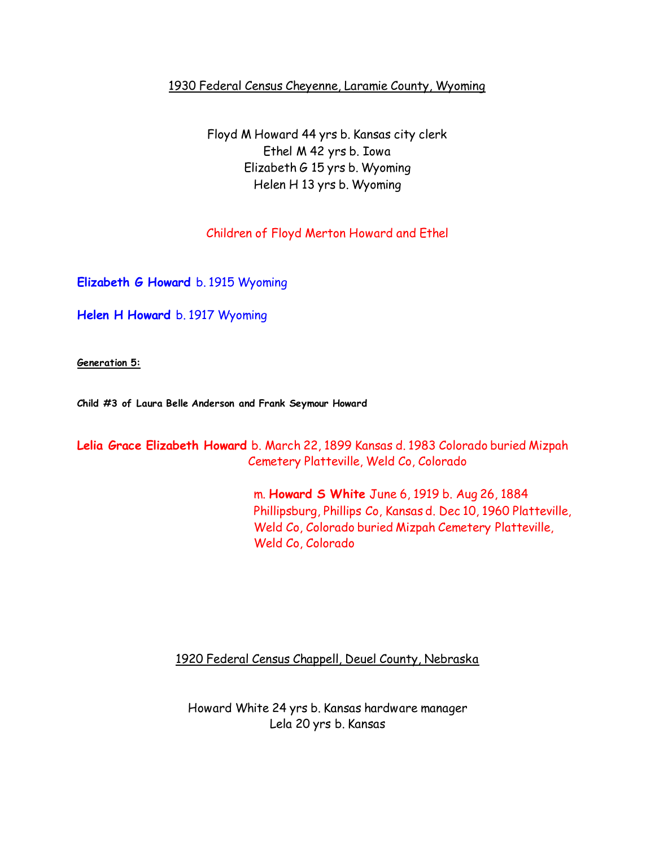# 1930 Federal Census Cheyenne, Laramie County, Wyoming

Floyd M Howard 44 yrs b. Kansas city clerk Ethel M 42 yrs b. Iowa Elizabeth G 15 yrs b. Wyoming Helen H 13 yrs b. Wyoming

# Children of Floyd Merton Howard and Ethel

**Elizabeth G Howard** b. 1915 Wyoming

**Helen H Howard** b. 1917 Wyoming

**Generation 5:**

**Child #3 of Laura Belle Anderson and Frank Seymour Howard**

**Lelia Grace Elizabeth Howard** b. March 22, 1899 Kansas d. 1983 Colorado buried Mizpah Cemetery Platteville, Weld Co, Colorado

> m. **Howard S White** June 6, 1919 b. Aug 26, 1884 Phillipsburg, Phillips Co, Kansas d. Dec 10, 1960 Platteville, Weld Co, Colorado buried Mizpah Cemetery Platteville, Weld Co, Colorado

1920 Federal Census Chappell, Deuel County, Nebraska

Howard White 24 yrs b. Kansas hardware manager Lela 20 yrs b. Kansas